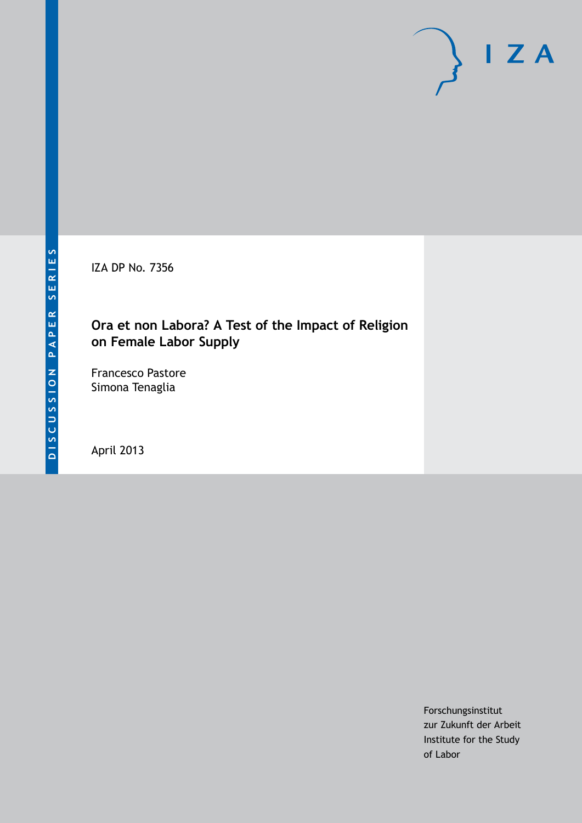IZA DP No. 7356

## **Ora et non Labora? A Test of the Impact of Religion on Female Labor Supply**

Francesco Pastore Simona Tenaglia

April 2013

Forschungsinstitut zur Zukunft der Arbeit Institute for the Study of Labor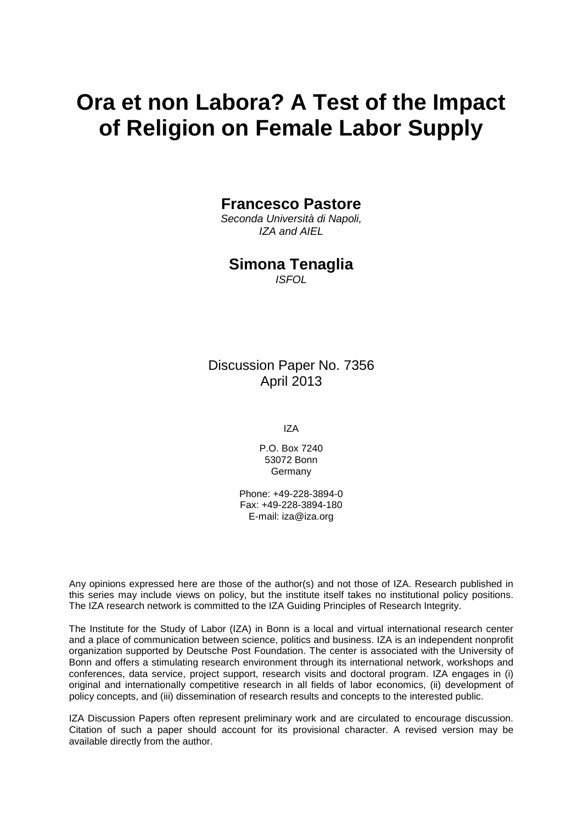# **Ora et non Labora? A Test of the Impact of Religion on Female Labor Supply**

## **Francesco Pastore**

*Seconda Università di Napoli, IZA and AIEL*

## **Simona Tenaglia**

*ISFOL*

Discussion Paper No. 7356 April 2013

IZA

P.O. Box 7240 53072 Bonn Germany

Phone: +49-228-3894-0 Fax: +49-228-3894-180 E-mail: [iza@iza.org](mailto:iza@iza.org)

Any opinions expressed here are those of the author(s) and not those of IZA. Research published in this series may include views on policy, but the institute itself takes no institutional policy positions. The IZA research network is committed to the IZA Guiding Principles of Research Integrity.

The Institute for the Study of Labor (IZA) in Bonn is a local and virtual international research center and a place of communication between science, politics and business. IZA is an independent nonprofit organization supported by Deutsche Post Foundation. The center is associated with the University of Bonn and offers a stimulating research environment through its international network, workshops and conferences, data service, project support, research visits and doctoral program. IZA engages in (i) original and internationally competitive research in all fields of labor economics, (ii) development of policy concepts, and (iii) dissemination of research results and concepts to the interested public.

<span id="page-1-0"></span>IZA Discussion Papers often represent preliminary work and are circulated to encourage discussion. Citation of such a paper should account for its provisional character. A revised version may be available directly from the author.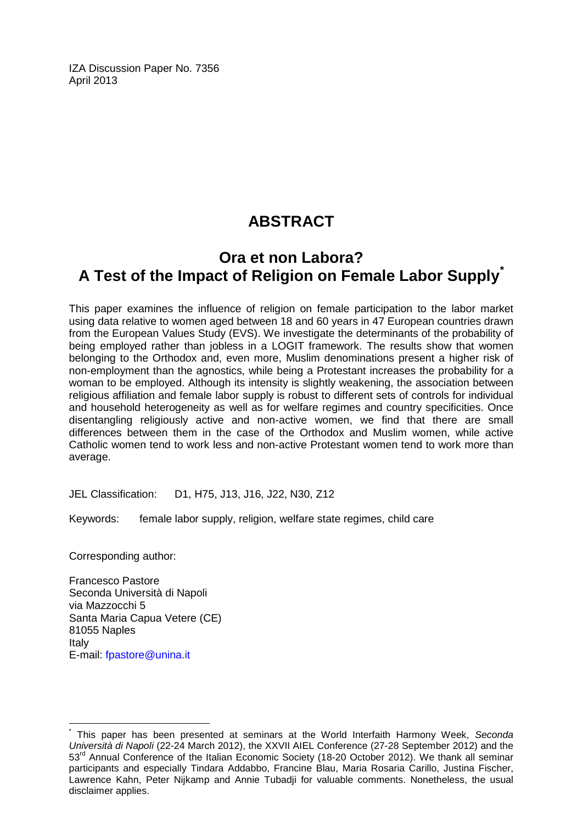IZA Discussion Paper No. 7356 April 2013

## **ABSTRACT**

## **Ora et non Labora? A Test of the Impact of Religion on Female Labor Supply[\\*](#page-1-0)**

This paper examines the influence of religion on female participation to the labor market using data relative to women aged between 18 and 60 years in 47 European countries drawn from the European Values Study (EVS). We investigate the determinants of the probability of being employed rather than jobless in a LOGIT framework. The results show that women belonging to the Orthodox and, even more, Muslim denominations present a higher risk of non-employment than the agnostics, while being a Protestant increases the probability for a woman to be employed. Although its intensity is slightly weakening, the association between religious affiliation and female labor supply is robust to different sets of controls for individual and household heterogeneity as well as for welfare regimes and country specificities. Once disentangling religiously active and non-active women, we find that there are small differences between them in the case of the Orthodox and Muslim women, while active Catholic women tend to work less and non-active Protestant women tend to work more than average.

JEL Classification: D1, H75, J13, J16, J22, N30, Z12

Keywords: female labor supply, religion, welfare state regimes, child care

Corresponding author:

Francesco Pastore Seconda Università di Napoli via Mazzocchi 5 Santa Maria Capua Vetere (CE) 81055 Naples Italy E-mail: [fpastore@unina.it](mailto:fpastore@unina.it)

\* This paper has been presented at seminars at the World Interfaith Harmony Week, *Seconda Università di Napoli* (22-24 March 2012), the XXVII AIEL Conference (27-28 September 2012) and the 53rd Annual Conference of the Italian Economic Society (18-20 October 2012). We thank all seminar participants and especially Tindara Addabbo, Francine Blau, Maria Rosaria Carillo, Justina Fischer, Lawrence Kahn, Peter Nijkamp and Annie Tubadji for valuable comments. Nonetheless, the usual disclaimer applies.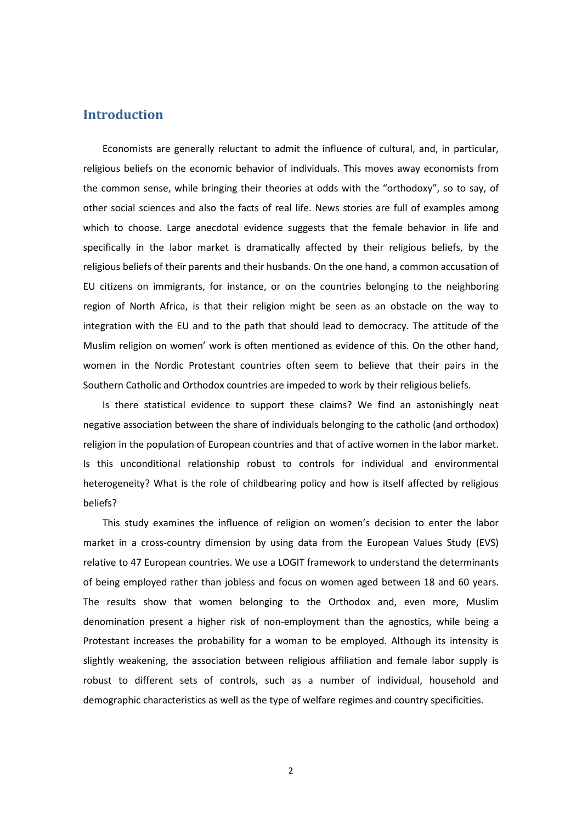## **Introduction**

Economists are generally reluctant to admit the influence of cultural, and, in particular, religious beliefs on the economic behavior of individuals. This moves away economists from the common sense, while bringing their theories at odds with the "orthodoxy", so to say, of other social sciences and also the facts of real life. News stories are full of examples among which to choose. Large anecdotal evidence suggests that the female behavior in life and specifically in the labor market is dramatically affected by their religious beliefs, by the religious beliefs of their parents and their husbands. On the one hand, a common accusation of EU citizens on immigrants, for instance, or on the countries belonging to the neighboring region of North Africa, is that their religion might be seen as an obstacle on the way to integration with the EU and to the path that should lead to democracy. The attitude of the Muslim religion on women' work is often mentioned as evidence of this. On the other hand, women in the Nordic Protestant countries often seem to believe that their pairs in the Southern Catholic and Orthodox countries are impeded to work by their religious beliefs.

Is there statistical evidence to support these claims? We find an astonishingly neat negative association between the share of individuals belonging to the catholic (and orthodox) religion in the population of European countries and that of active women in the labor market. Is this unconditional relationship robust to controls for individual and environmental heterogeneity? What is the role of childbearing policy and how is itself affected by religious beliefs?

This study examines the influence of religion on women's decision to enter the labor market in a cross-country dimension by using data from the European Values Study (EVS) relative to 47 European countries. We use a LOGIT framework to understand the determinants of being employed rather than jobless and focus on women aged between 18 and 60 years. The results show that women belonging to the Orthodox and, even more, Muslim denomination present a higher risk of non-employment than the agnostics, while being a Protestant increases the probability for a woman to be employed. Although its intensity is slightly weakening, the association between religious affiliation and female labor supply is robust to different sets of controls, such as a number of individual, household and demographic characteristics as well as the type of welfare regimes and country specificities.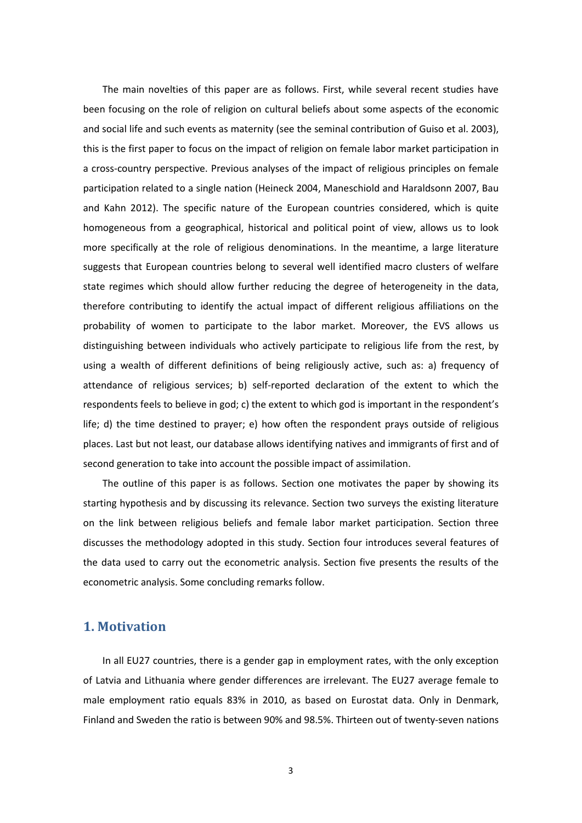The main novelties of this paper are as follows. First, while several recent studies have been focusing on the role of religion on cultural beliefs about some aspects of the economic and social life and such events as maternity (see the seminal contribution of Guiso et al. 2003), this is the first paper to focus on the impact of religion on female labor market participation in a cross-country perspective. Previous analyses of the impact of religious principles on female participation related to a single nation (Heineck 2004, Maneschiold and Haraldsonn 2007, Bau and Kahn 2012). The specific nature of the European countries considered, which is quite homogeneous from a geographical, historical and political point of view, allows us to look more specifically at the role of religious denominations. In the meantime, a large literature suggests that European countries belong to several well identified macro clusters of welfare state regimes which should allow further reducing the degree of heterogeneity in the data, therefore contributing to identify the actual impact of different religious affiliations on the probability of women to participate to the labor market. Moreover, the EVS allows us distinguishing between individuals who actively participate to religious life from the rest, by using a wealth of different definitions of being religiously active, such as: a) frequency of attendance of religious services; b) self-reported declaration of the extent to which the respondents feels to believe in god; c) the extent to which god is important in the respondent's life; d) the time destined to prayer; e) how often the respondent prays outside of religious places. Last but not least, our database allows identifying natives and immigrants of first and of second generation to take into account the possible impact of assimilation.

The outline of this paper is as follows. Section one motivates the paper by showing its starting hypothesis and by discussing its relevance. Section two surveys the existing literature on the link between religious beliefs and female labor market participation. Section three discusses the methodology adopted in this study. Section four introduces several features of the data used to carry out the econometric analysis. Section five presents the results of the econometric analysis. Some concluding remarks follow.

## **1. Motivation**

In all EU27 countries, there is a gender gap in employment rates, with the only exception of Latvia and Lithuania where gender differences are irrelevant. The EU27 average female to male employment ratio equals 83% in 2010, as based on Eurostat data. Only in Denmark, Finland and Sweden the ratio is between 90% and 98.5%. Thirteen out of twenty-seven nations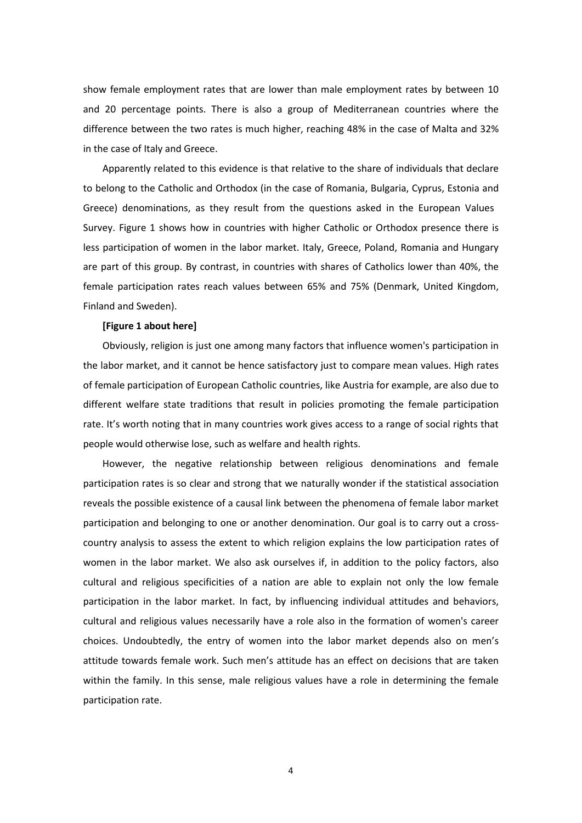show female employment rates that are lower than male employment rates by between 10 and 20 percentage points. There is also a group of Mediterranean countries where the difference between the two rates is much higher, reaching 48% in the case of Malta and 32% in the case of Italy and Greece.

Apparently related to this evidence is that relative to the share of individuals that declare to belong to the Catholic and Orthodox (in the case of Romania, Bulgaria, Cyprus, Estonia and Greece) denominations, as they result from the questions asked in the European Values Survey. Figure 1 shows how in countries with higher Catholic or Orthodox presence there is less participation of women in the labor market. Italy, Greece, Poland, Romania and Hungary are part of this group. By contrast, in countries with shares of Catholics lower than 40%, the female participation rates reach values between 65% and 75% (Denmark, United Kingdom, Finland and Sweden).

#### **[Figure 1 about here]**

Obviously, religion is just one among many factors that influence women's participation in the labor market, and it cannot be hence satisfactory just to compare mean values. High rates of female participation of European Catholic countries, like Austria for example, are also due to different welfare state traditions that result in policies promoting the female participation rate. It's worth noting that in many countries work gives access to a range of social rights that people would otherwise lose, such as welfare and health rights.

However, the negative relationship between religious denominations and female participation rates is so clear and strong that we naturally wonder if the statistical association reveals the possible existence of a causal link between the phenomena of female labor market participation and belonging to one or another denomination. Our goal is to carry out a crosscountry analysis to assess the extent to which religion explains the low participation rates of women in the labor market. We also ask ourselves if, in addition to the policy factors, also cultural and religious specificities of a nation are able to explain not only the low female participation in the labor market. In fact, by influencing individual attitudes and behaviors, cultural and religious values necessarily have a role also in the formation of women's career choices. Undoubtedly, the entry of women into the labor market depends also on men's attitude towards female work. Such men's attitude has an effect on decisions that are taken within the family. In this sense, male religious values have a role in determining the female participation rate.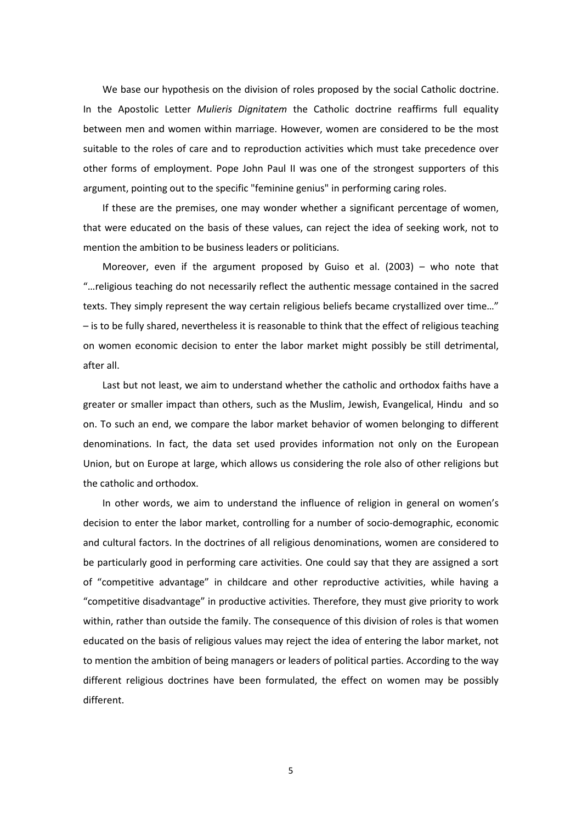We base our hypothesis on the division of roles proposed by the social Catholic doctrine. In the Apostolic Letter *Mulieris Dignitatem* the Catholic doctrine reaffirms full equality between men and women within marriage. However, women are considered to be the most suitable to the roles of care and to reproduction activities which must take precedence over other forms of employment. Pope John Paul II was one of the strongest supporters of this argument, pointing out to the specific "feminine genius" in performing caring roles.

If these are the premises, one may wonder whether a significant percentage of women, that were educated on the basis of these values, can reject the idea of seeking work, not to mention the ambition to be business leaders or politicians.

Moreover, even if the argument proposed by Guiso et al. (2003) – who note that "…religious teaching do not necessarily reflect the authentic message contained in the sacred texts. They simply represent the way certain religious beliefs became crystallized over time…" – is to be fully shared, nevertheless it is reasonable to think that the effect of religious teaching on women economic decision to enter the labor market might possibly be still detrimental, after all.

Last but not least, we aim to understand whether the catholic and orthodox faiths have a greater or smaller impact than others, such as the Muslim, Jewish, Evangelical, Hindu and so on. To such an end, we compare the labor market behavior of women belonging to different denominations. In fact, the data set used provides information not only on the European Union, but on Europe at large, which allows us considering the role also of other religions but the catholic and orthodox.

In other words, we aim to understand the influence of religion in general on women's decision to enter the labor market, controlling for a number of socio-demographic, economic and cultural factors. In the doctrines of all religious denominations, women are considered to be particularly good in performing care activities. One could say that they are assigned a sort of "competitive advantage" in childcare and other reproductive activities, while having a "competitive disadvantage" in productive activities. Therefore, they must give priority to work within, rather than outside the family. The consequence of this division of roles is that women educated on the basis of religious values may reject the idea of entering the labor market, not to mention the ambition of being managers or leaders of political parties. According to the way different religious doctrines have been formulated, the effect on women may be possibly different.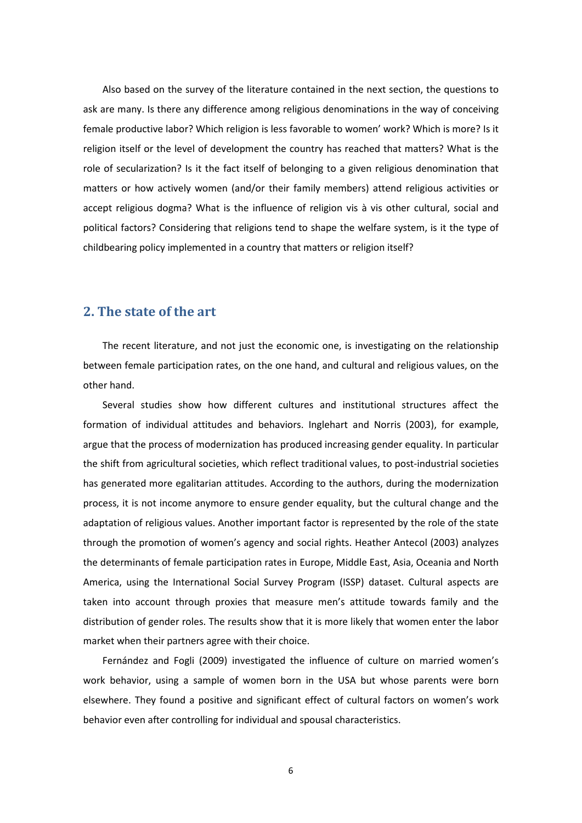Also based on the survey of the literature contained in the next section, the questions to ask are many. Is there any difference among religious denominations in the way of conceiving female productive labor? Which religion is less favorable to women' work? Which is more? Is it religion itself or the level of development the country has reached that matters? What is the role of secularization? Is it the fact itself of belonging to a given religious denomination that matters or how actively women (and/or their family members) attend religious activities or accept religious dogma? What is the influence of religion vis à vis other cultural, social and political factors? Considering that religions tend to shape the welfare system, is it the type of childbearing policy implemented in a country that matters or religion itself?

## **2. The state of the art**

The recent literature, and not just the economic one, is investigating on the relationship between female participation rates, on the one hand, and cultural and religious values, on the other hand.

Several studies show how different cultures and institutional structures affect the formation of individual attitudes and behaviors. Inglehart and Norris (2003), for example, argue that the process of modernization has produced increasing gender equality. In particular the shift from agricultural societies, which reflect traditional values, to post-industrial societies has generated more egalitarian attitudes. According to the authors, during the modernization process, it is not income anymore to ensure gender equality, but the cultural change and the adaptation of religious values. Another important factor is represented by the role of the state through the promotion of women's agency and social rights. Heather Antecol (2003) analyzes the determinants of female participation rates in Europe, Middle East, Asia, Oceania and North America, using the International Social Survey Program (ISSP) dataset. Cultural aspects are taken into account through proxies that measure men's attitude towards family and the distribution of gender roles. The results show that it is more likely that women enter the labor market when their partners agree with their choice.

Fernández and Fogli (2009) investigated the influence of culture on married women's work behavior, using a sample of women born in the USA but whose parents were born elsewhere. They found a positive and significant effect of cultural factors on women's work behavior even after controlling for individual and spousal characteristics.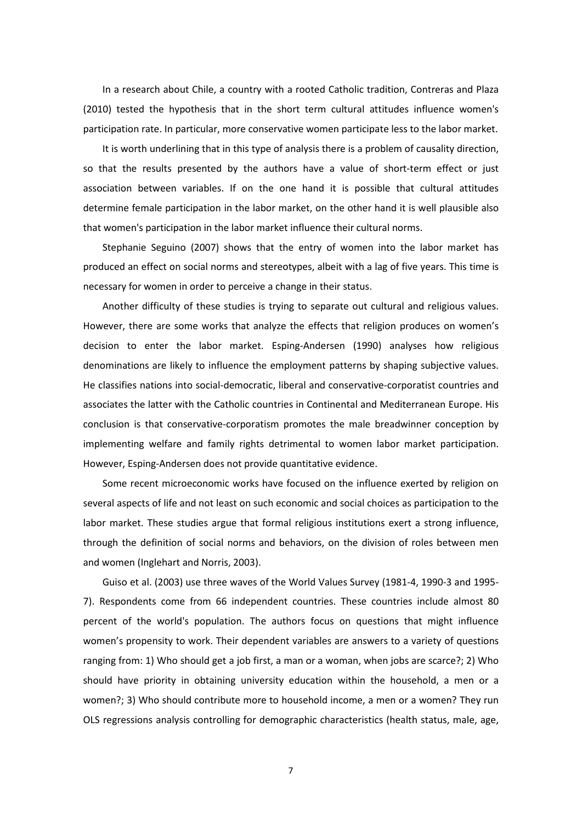In a research about Chile, a country with a rooted Catholic tradition, Contreras and Plaza (2010) tested the hypothesis that in the short term cultural attitudes influence women's participation rate. In particular, more conservative women participate less to the labor market.

It is worth underlining that in this type of analysis there is a problem of causality direction, so that the results presented by the authors have a value of short-term effect or just association between variables. If on the one hand it is possible that cultural attitudes determine female participation in the labor market, on the other hand it is well plausible also that women's participation in the labor market influence their cultural norms.

Stephanie Seguino (2007) shows that the entry of women into the labor market has produced an effect on social norms and stereotypes, albeit with a lag of five years. This time is necessary for women in order to perceive a change in their status.

Another difficulty of these studies is trying to separate out cultural and religious values. However, there are some works that analyze the effects that religion produces on women's decision to enter the labor market. Esping-Andersen (1990) analyses how religious denominations are likely to influence the employment patterns by shaping subjective values. He classifies nations into social-democratic, liberal and conservative-corporatist countries and associates the latter with the Catholic countries in Continental and Mediterranean Europe. His conclusion is that conservative-corporatism promotes the male breadwinner conception by implementing welfare and family rights detrimental to women labor market participation. However, Esping-Andersen does not provide quantitative evidence.

Some recent microeconomic works have focused on the influence exerted by religion on several aspects of life and not least on such economic and social choices as participation to the labor market. These studies argue that formal religious institutions exert a strong influence, through the definition of social norms and behaviors, on the division of roles between men and women (Inglehart and Norris, 2003).

Guiso et al. (2003) use three waves of the World Values Survey (1981-4, 1990-3 and 1995- 7). Respondents come from 66 independent countries. These countries include almost 80 percent of the world's population. The authors focus on questions that might influence women's propensity to work. Their dependent variables are answers to a variety of questions ranging from: 1) Who should get a job first, a man or a woman, when jobs are scarce?; 2) Who should have priority in obtaining university education within the household, a men or a women?; 3) Who should contribute more to household income, a men or a women? They run OLS regressions analysis controlling for demographic characteristics (health status, male, age,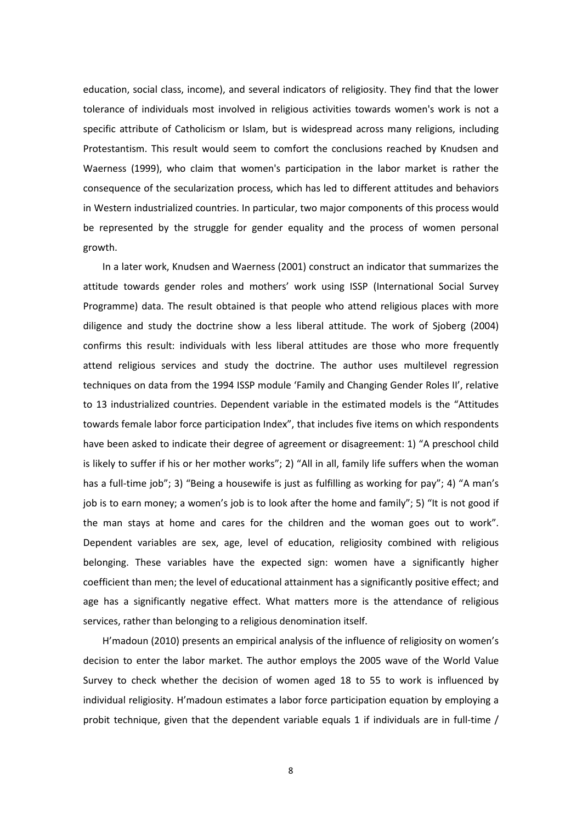education, social class, income), and several indicators of religiosity. They find that the lower tolerance of individuals most involved in religious activities towards women's work is not a specific attribute of Catholicism or Islam, but is widespread across many religions, including Protestantism. This result would seem to comfort the conclusions reached by Knudsen and Waerness (1999), who claim that women's participation in the labor market is rather the consequence of the secularization process, which has led to different attitudes and behaviors in Western industrialized countries. In particular, two major components of this process would be represented by the struggle for gender equality and the process of women personal growth.

In a later work, Knudsen and Waerness (2001) construct an indicator that summarizes the attitude towards gender roles and mothers' work using ISSP (International Social Survey Programme) data. The result obtained is that people who attend religious places with more diligence and study the doctrine show a less liberal attitude. The work of Sjoberg (2004) confirms this result: individuals with less liberal attitudes are those who more frequently attend religious services and study the doctrine. The author uses multilevel regression techniques on data from the 1994 ISSP module 'Family and Changing Gender Roles II', relative to 13 industrialized countries. Dependent variable in the estimated models is the "Attitudes towards female labor force participation Index", that includes five items on which respondents have been asked to indicate their degree of agreement or disagreement: 1) "A preschool child is likely to suffer if his or her mother works"; 2) "All in all, family life suffers when the woman has a full-time job"; 3) "Being a housewife is just as fulfilling as working for pay"; 4) "A man's job is to earn money; a women's job is to look after the home and family"; 5) "It is not good if the man stays at home and cares for the children and the woman goes out to work". Dependent variables are sex, age, level of education, religiosity combined with religious belonging. These variables have the expected sign: women have a significantly higher coefficient than men; the level of educational attainment has a significantly positive effect; and age has a significantly negative effect. What matters more is the attendance of religious services, rather than belonging to a religious denomination itself.

H'madoun (2010) presents an empirical analysis of the influence of religiosity on women's decision to enter the labor market. The author employs the 2005 wave of the World Value Survey to check whether the decision of women aged 18 to 55 to work is influenced by individual religiosity. H'madoun estimates a labor force participation equation by employing a probit technique, given that the dependent variable equals 1 if individuals are in full-time /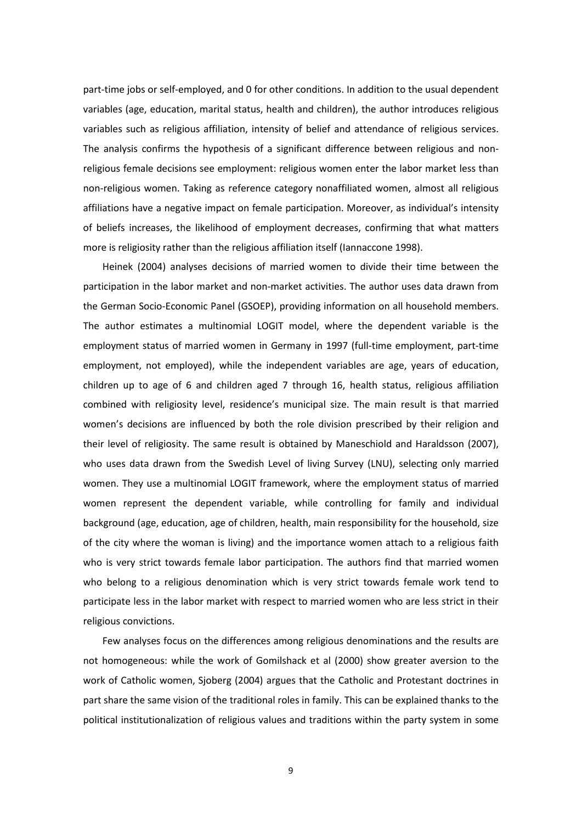part-time jobs or self-employed, and 0 for other conditions. In addition to the usual dependent variables (age, education, marital status, health and children), the author introduces religious variables such as religious affiliation, intensity of belief and attendance of religious services. The analysis confirms the hypothesis of a significant difference between religious and nonreligious female decisions see employment: religious women enter the labor market less than non-religious women. Taking as reference category nonaffiliated women, almost all religious affiliations have a negative impact on female participation. Moreover, as individual's intensity of beliefs increases, the likelihood of employment decreases, confirming that what matters more is religiosity rather than the religious affiliation itself (Iannaccone 1998).

Heinek (2004) analyses decisions of married women to divide their time between the participation in the labor market and non-market activities. The author uses data drawn from the German Socio-Economic Panel (GSOEP), providing information on all household members. The author estimates a multinomial LOGIT model, where the dependent variable is the employment status of married women in Germany in 1997 (full-time employment, part-time employment, not employed), while the independent variables are age, years of education, children up to age of 6 and children aged 7 through 16, health status, religious affiliation combined with religiosity level, residence's municipal size. The main result is that married women's decisions are influenced by both the role division prescribed by their religion and their level of religiosity. The same result is obtained by Maneschiold and Haraldsson (2007), who uses data drawn from the Swedish Level of living Survey (LNU), selecting only married women. They use a multinomial LOGIT framework, where the employment status of married women represent the dependent variable, while controlling for family and individual background (age, education, age of children, health, main responsibility for the household, size of the city where the woman is living) and the importance women attach to a religious faith who is very strict towards female labor participation. The authors find that married women who belong to a religious denomination which is very strict towards female work tend to participate less in the labor market with respect to married women who are less strict in their religious convictions.

Few analyses focus on the differences among religious denominations and the results are not homogeneous: while the work of Gomilshack et al (2000) show greater aversion to the work of Catholic women, Sjoberg (2004) argues that the Catholic and Protestant doctrines in part share the same vision of the traditional roles in family. This can be explained thanks to the political institutionalization of religious values and traditions within the party system in some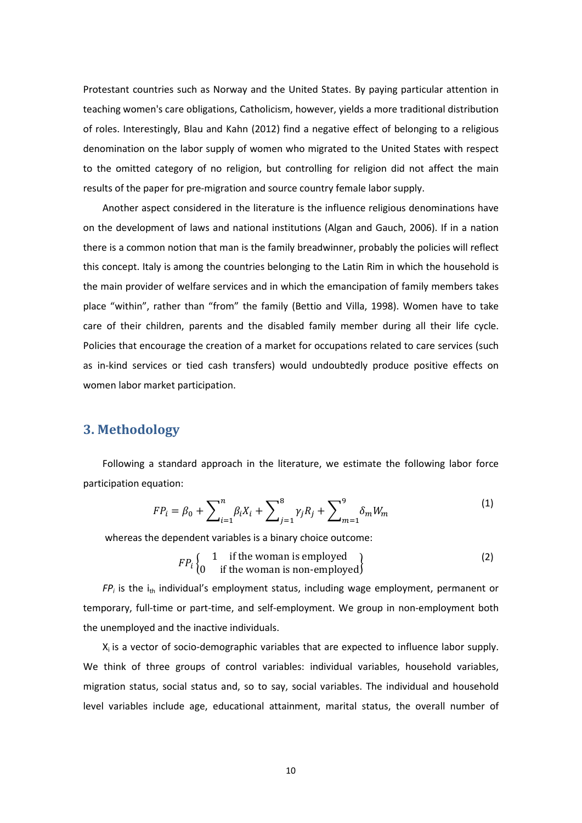Protestant countries such as Norway and the United States. By paying particular attention in teaching women's care obligations, Catholicism, however, yields a more traditional distribution of roles. Interestingly, Blau and Kahn (2012) find a negative effect of belonging to a religious denomination on the labor supply of women who migrated to the United States with respect to the omitted category of no religion, but controlling for religion did not affect the main results of the paper for pre-migration and source country female labor supply.

Another aspect considered in the literature is the influence religious denominations have on the development of laws and national institutions (Algan and Gauch, 2006). If in a nation there is a common notion that man is the family breadwinner, probably the policies will reflect this concept. Italy is among the countries belonging to the Latin Rim in which the household is the main provider of welfare services and in which the emancipation of family members takes place "within", rather than "from" the family (Bettio and Villa, 1998). Women have to take care of their children, parents and the disabled family member during all their life cycle. Policies that encourage the creation of a market for occupations related to care services (such as in-kind services or tied cash transfers) would undoubtedly produce positive effects on women labor market participation.

## **3. Methodology**

Following a standard approach in the literature, we estimate the following labor force participation equation:

$$
FP_i = \beta_0 + \sum_{i=1}^n \beta_i X_i + \sum_{j=1}^8 \gamma_j R_j + \sum_{m=1}^9 \delta_m W_m \tag{1}
$$

whereas the dependent variables is a binary choice outcome:

$$
FP_i \begin{cases} 1 & \text{if the woman is employed} \\ 0 & \text{if the woman is non-emptyed} \end{cases}
$$
 (2)

 $FP_i$  is the i<sub>th</sub> individual's employment status, including wage employment, permanent or temporary, full-time or part-time, and self-employment. We group in non-employment both the unemployed and the inactive individuals.

 $X_i$  is a vector of socio-demographic variables that are expected to influence labor supply. We think of three groups of control variables: individual variables, household variables, migration status, social status and, so to say, social variables. The individual and household level variables include age, educational attainment, marital status, the overall number of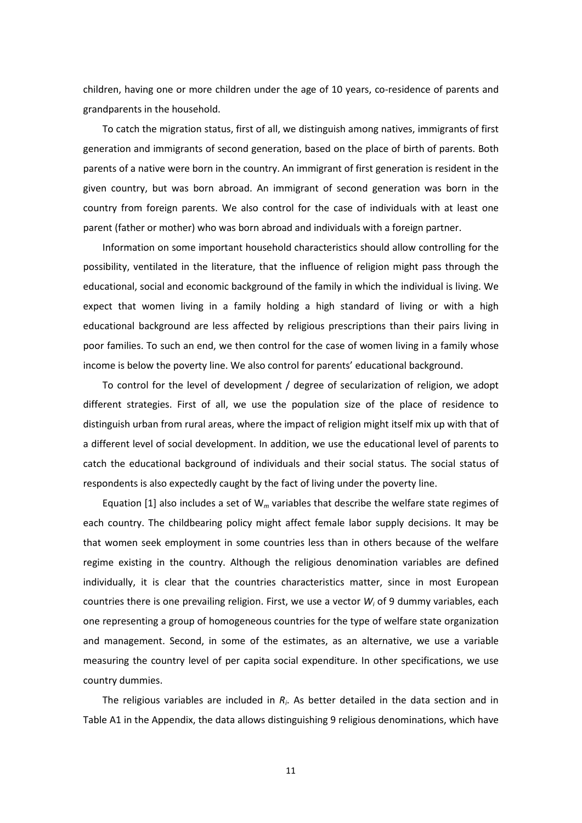children, having one or more children under the age of 10 years, co-residence of parents and grandparents in the household.

To catch the migration status, first of all, we distinguish among natives, immigrants of first generation and immigrants of second generation, based on the place of birth of parents. Both parents of a native were born in the country. An immigrant of first generation is resident in the given country, but was born abroad. An immigrant of second generation was born in the country from foreign parents. We also control for the case of individuals with at least one parent (father or mother) who was born abroad and individuals with a foreign partner.

Information on some important household characteristics should allow controlling for the possibility, ventilated in the literature, that the influence of religion might pass through the educational, social and economic background of the family in which the individual is living. We expect that women living in a family holding a high standard of living or with a high educational background are less affected by religious prescriptions than their pairs living in poor families. To such an end, we then control for the case of women living in a family whose income is below the poverty line. We also control for parents' educational background.

To control for the level of development / degree of secularization of religion, we adopt different strategies. First of all, we use the population size of the place of residence to distinguish urban from rural areas, where the impact of religion might itself mix up with that of a different level of social development. In addition, we use the educational level of parents to catch the educational background of individuals and their social status. The social status of respondents is also expectedly caught by the fact of living under the poverty line.

Equation [1] also includes a set of W*<sup>m</sup>* variables that describe the welfare state regimes of each country. The childbearing policy might affect female labor supply decisions. It may be that women seek employment in some countries less than in others because of the welfare regime existing in the country. Although the religious denomination variables are defined individually, it is clear that the countries characteristics matter, since in most European countries there is one prevailing religion. First, we use a vector *Wi* of 9 dummy variables, each one representing a group of homogeneous countries for the type of welfare state organization and management. Second, in some of the estimates, as an alternative, we use a variable measuring the country level of per capita social expenditure. In other specifications, we use country dummies.

The religious variables are included in *Ri*. As better detailed in the data section and in Table A1 in the Appendix, the data allows distinguishing 9 religious denominations, which have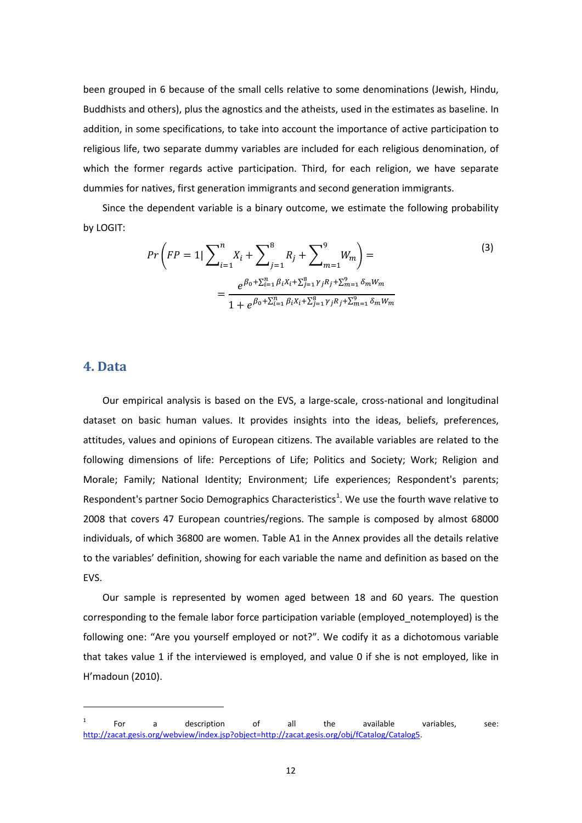been grouped in 6 because of the small cells relative to some denominations (Jewish, Hindu, Buddhists and others), plus the agnostics and the atheists, used in the estimates as baseline. In addition, in some specifications, to take into account the importance of active participation to religious life, two separate dummy variables are included for each religious denomination, of which the former regards active participation. Third, for each religion, we have separate dummies for natives, first generation immigrants and second generation immigrants.

Since the dependent variable is a binary outcome, we estimate the following probability by LOGIT:

$$
Pr\left(FP=1|\sum_{i=1}^{n}X_{i}+\sum_{j=1}^{8}R_{j}+\sum_{m=1}^{9}W_{m}\right)=
$$
\n
$$
=\frac{e^{\beta_{0}+\sum_{i=1}^{n}\beta_{i}X_{i}+\sum_{j=1}^{8}\gamma_{j}R_{j}+\sum_{m=1}^{9}\delta_{m}W_{m}}}{1+e^{\beta_{0}+\sum_{i=1}^{n}\beta_{i}X_{i}+\sum_{j=1}^{8}\gamma_{j}R_{j}+\sum_{m=1}^{9}\delta_{m}W_{m}}}
$$
\n(3)

### **4. Data**

 $\overline{a}$ 

Our empirical analysis is based on the EVS, a large-scale, cross-national and longitudinal dataset on basic human values. It provides insights into the ideas, beliefs, preferences, attitudes, values and opinions of European citizens. The available variables are related to the following dimensions of life: Perceptions of Life; Politics and Society; Work; Religion and Morale; Family; National Identity; Environment; Life experiences; Respondent's parents; Respondent's partner Socio Demographics Characteristics<sup>1</sup>. We use the fourth wave relative to 2008 that covers 47 European countries/regions. The sample is composed by almost 68000 individuals, of which 36800 are women. Table A1 in the Annex provides all the details relative to the variables' definition, showing for each variable the name and definition as based on the EVS.

Our sample is represented by women aged between 18 and 60 years. The question corresponding to the female labor force participation variable (employed\_notemployed) is the following one: "Are you yourself employed or not?". We codify it as a dichotomous variable that takes value 1 if the interviewed is employed, and value 0 if she is not employed, like in H'madoun (2010).

<span id="page-13-0"></span> $1$  For a description of all the available variables, see: [http://zacat.gesis.org/webview/index.jsp?object=http://zacat.gesis.org/obj/fCatalog/Catalog5.](http://zacat.gesis.org/webview/index.jsp?object=http://zacat.gesis.org/obj/fCatalog/Catalog5)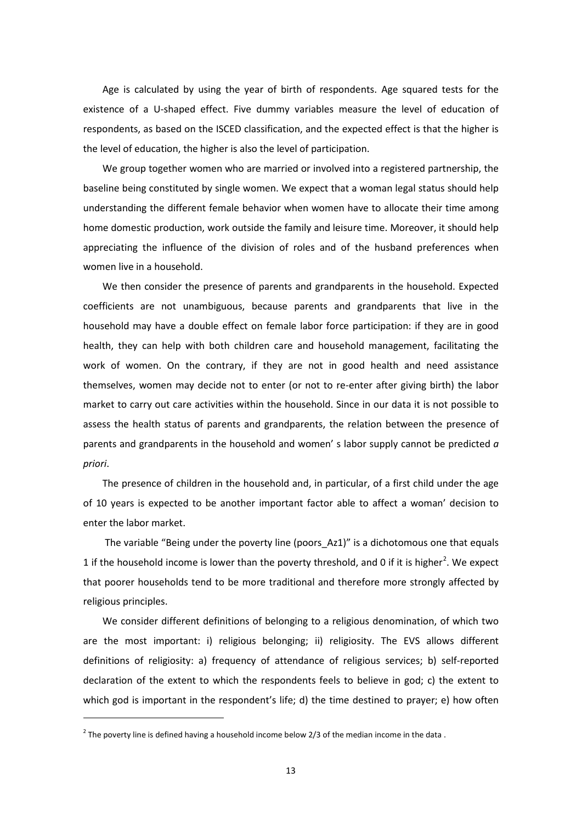Age is calculated by using the year of birth of respondents. Age squared tests for the existence of a U-shaped effect. Five dummy variables measure the level of education of respondents, as based on the ISCED classification, and the expected effect is that the higher is the level of education, the higher is also the level of participation.

We group together women who are married or involved into a registered partnership, the baseline being constituted by single women. We expect that a woman legal status should help understanding the different female behavior when women have to allocate their time among home domestic production, work outside the family and leisure time. Moreover, it should help appreciating the influence of the division of roles and of the husband preferences when women live in a household.

We then consider the presence of parents and grandparents in the household. Expected coefficients are not unambiguous, because parents and grandparents that live in the household may have a double effect on female labor force participation: if they are in good health, they can help with both children care and household management, facilitating the work of women. On the contrary, if they are not in good health and need assistance themselves, women may decide not to enter (or not to re-enter after giving birth) the labor market to carry out care activities within the household. Since in our data it is not possible to assess the health status of parents and grandparents, the relation between the presence of parents and grandparents in the household and women' s labor supply cannot be predicted *a priori*.

The presence of children in the household and, in particular, of a first child under the age of 10 years is expected to be another important factor able to affect a woman' decision to enter the labor market.

The variable "Being under the poverty line (poors\_Az1)" is a dichotomous one that equals 1 if the household income is lower than the poverty threshold, and 0 if it is higher<sup>[2](#page-13-0)</sup>. We expect that poorer households tend to be more traditional and therefore more strongly affected by religious principles.

<span id="page-14-0"></span>We consider different definitions of belonging to a religious denomination, of which two are the most important: i) religious belonging; ii) religiosity. The EVS allows different definitions of religiosity: a) frequency of attendance of religious services; b) self-reported declaration of the extent to which the respondents feels to believe in god; c) the extent to which god is important in the respondent's life; d) the time destined to prayer; e) how often

**.** 

<sup>&</sup>lt;sup>2</sup> The poverty line is defined having a household income below 2/3 of the median income in the data.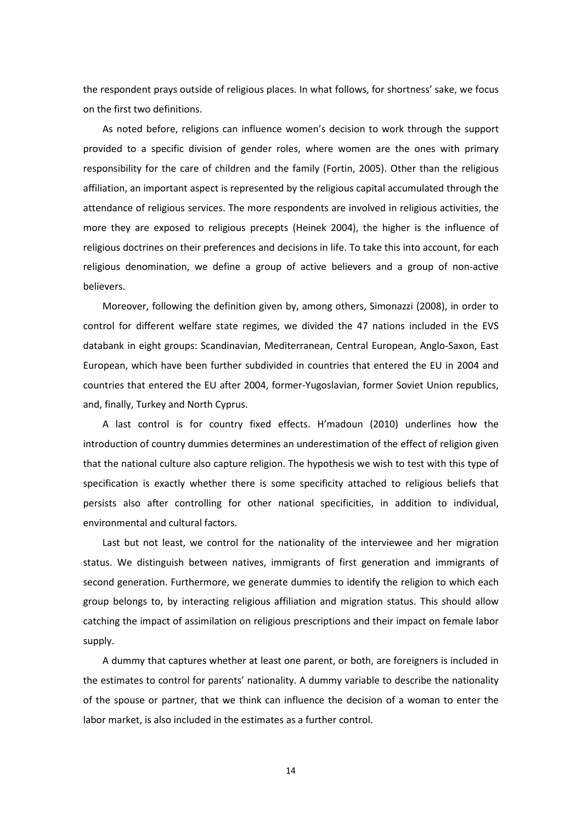the respondent prays outside of religious places. In what follows, for shortness' sake, we focus on the first two definitions.

As noted before, religions can influence women's decision to work through the support provided to a specific division of gender roles, where women are the ones with primary responsibility for the care of children and the family (Fortin, 2005). Other than the religious affiliation, an important aspect is represented by the religious capital accumulated through the attendance of religious services. The more respondents are involved in religious activities, the more they are exposed to religious precepts (Heinek 2004), the higher is the influence of religious doctrines on their preferences and decisions in life. To take this into account, for each religious denomination, we define a group of active believers and a group of non-active believers.

Moreover, following the definition given by, among others, Simonazzi (2008), in order to control for different welfare state regimes, we divided the 47 nations included in the EVS databank in eight groups: Scandinavian, Mediterranean, Central European, Anglo-Saxon, East European, which have been further subdivided in countries that entered the EU in 2004 and countries that entered the EU after 2004, former-Yugoslavian, former Soviet Union republics, and, finally, Turkey and North Cyprus.

A last control is for country fixed effects. H'madoun (2010) underlines how the introduction of country dummies determines an underestimation of the effect of religion given that the national culture also capture religion. The hypothesis we wish to test with this type of specification is exactly whether there is some specificity attached to religious beliefs that persists also after controlling for other national specificities, in addition to individual, environmental and cultural factors.

Last but not least, we control for the nationality of the interviewee and her migration status. We distinguish between natives, immigrants of first generation and immigrants of second generation. Furthermore, we generate dummies to identify the religion to which each group belongs to, by interacting religious affiliation and migration status. This should allow catching the impact of assimilation on religious prescriptions and their impact on female labor supply.

A dummy that captures whether at least one parent, or both, are foreigners is included in the estimates to control for parents' nationality. A dummy variable to describe the nationality of the spouse or partner, that we think can influence the decision of a woman to enter the labor market, is also included in the estimates as a further control.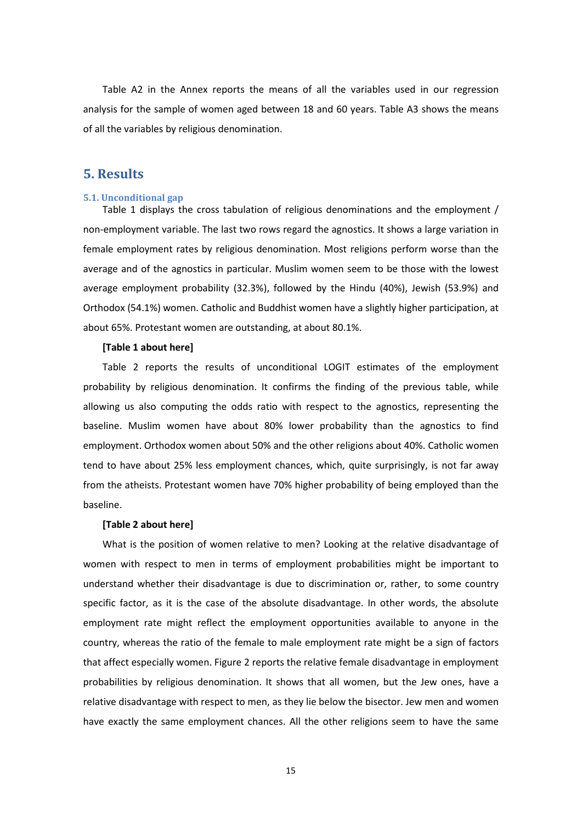Table A2 in the Annex reports the means of all the variables used in our regression analysis for the sample of women aged between 18 and 60 years. Table A3 shows the means of all the variables by religious denomination.

### **5. Results**

#### **5.1. Unconditional gap**

Table 1 displays the cross tabulation of religious denominations and the employment / non-employment variable. The last two rows regard the agnostics. It shows a large variation in female employment rates by religious denomination. Most religions perform worse than the average and of the agnostics in particular. Muslim women seem to be those with the lowest average employment probability (32.3%), followed by the Hindu (40%), Jewish (53.9%) and Orthodox (54.1%) women. Catholic and Buddhist women have a slightly higher participation, at about 65%. Protestant women are outstanding, at about 80.1%.

#### **[Table 1 about here]**

Table 2 reports the results of unconditional LOGIT estimates of the employment probability by religious denomination. It confirms the finding of the previous table, while allowing us also computing the odds ratio with respect to the agnostics, representing the baseline. Muslim women have about 80% lower probability than the agnostics to find employment. Orthodox women about 50% and the other religions about 40%. Catholic women tend to have about 25% less employment chances, which, quite surprisingly, is not far away from the atheists. Protestant women have 70% higher probability of being employed than the baseline.

#### **[Table 2 about here]**

What is the position of women relative to men? Looking at the relative disadvantage of women with respect to men in terms of employment probabilities might be important to understand whether their disadvantage is due to discrimination or, rather, to some country specific factor, as it is the case of the absolute disadvantage. In other words, the absolute employment rate might reflect the employment opportunities available to anyone in the country, whereas the ratio of the female to male employment rate might be a sign of factors that affect especially women. Figure 2 reports the relative female disadvantage in employment probabilities by religious denomination. It shows that all women, but the Jew ones, have a relative disadvantage with respect to men, as they lie below the bisector. Jew men and women have exactly the same employment chances. All the other religions seem to have the same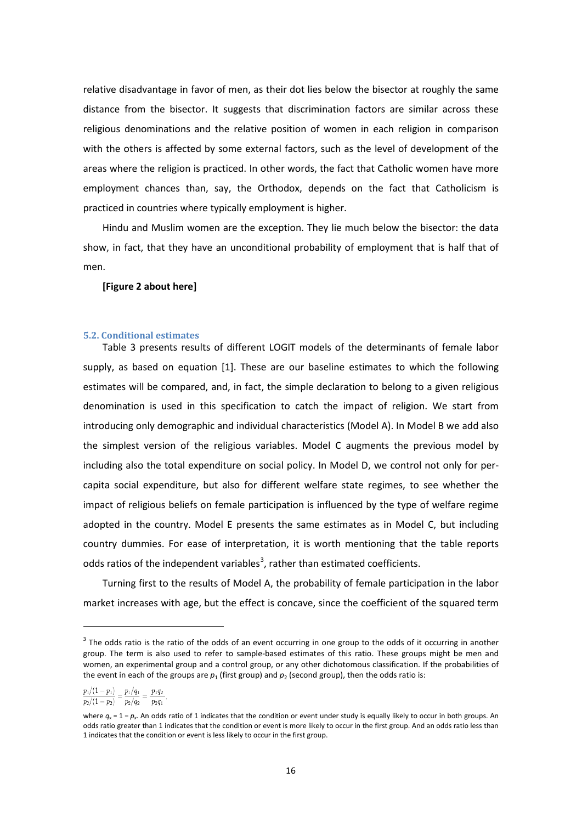relative disadvantage in favor of men, as their dot lies below the bisector at roughly the same distance from the bisector. It suggests that discrimination factors are similar across these religious denominations and the relative position of women in each religion in comparison with the others is affected by some external factors, such as the level of development of the areas where the religion is practiced. In other words, the fact that Catholic women have more employment chances than, say, the Orthodox, depends on the fact that Catholicism is practiced in countries where typically employment is higher.

Hindu and Muslim women are the exception. They lie much below the bisector: the data show, in fact, that they have an unconditional probability of employment that is half that of men.

#### **[Figure 2 about here]**

#### **5.2. Conditional estimates**

Table 3 presents results of different LOGIT models of the determinants of female labor supply, as based on equation [1]. These are our baseline estimates to which the following estimates will be compared, and, in fact, the simple declaration to belong to a given religious denomination is used in this specification to catch the impact of religion. We start from introducing only demographic and individual characteristics (Model A). In Model B we add also the simplest version of the religious variables. Model C augments the previous model by including also the total expenditure on social policy. In Model D, we control not only for percapita social expenditure, but also for different welfare state regimes, to see whether the impact of religious beliefs on female participation is influenced by the type of welfare regime adopted in the country. Model E presents the same estimates as in Model C, but including country dummies. For ease of interpretation, it is worth mentioning that the table reports odds ratios of the independent variables<sup>[3](#page-14-0)</sup>, rather than estimated coefficients.

Turning first to the results of Model A, the probability of female participation in the labor market increases with age, but the effect is concave, since the coefficient of the squared term

 $\overline{a}$ 

 $3$  The [odds](http://en.wikipedia.org/wiki/Odds) ratio is the ratio of the odds of an event occurring in one group to the odds of it occurring in another group. The term is also used to refer to sample-based estimates of this ratio. These groups might be men and women, an experimental group and a [control group,](http://en.wikipedia.org/wiki/Control_group) or any othe[r dichotomous](http://en.wikipedia.org/wiki/Dichotomy) classification. If the probabilities of the event in each of the groups are  $p_1$  (first group) and  $p_2$  (second group), then the odds ratio is:

 $\frac{p_1/(1-p_1)}{p_1/p_1} = \frac{p_1/q_1}{p_1/q_2} = \frac{p_1q_2}{p_1q_2}$ 

 $p_2/(1-p_2)$   $p_2/q_2$  $p_2q_1$ 

<span id="page-17-0"></span>where  $q_x = 1 - p_x$ . An odds ratio of 1 indicates that the condition or event under study is equally likely to occur in both groups. An odds ratio greater than 1 indicates that the condition or event is more likely to occur in the first group. And an odds ratio less than 1 indicates that the condition or event is less likely to occur in the first group.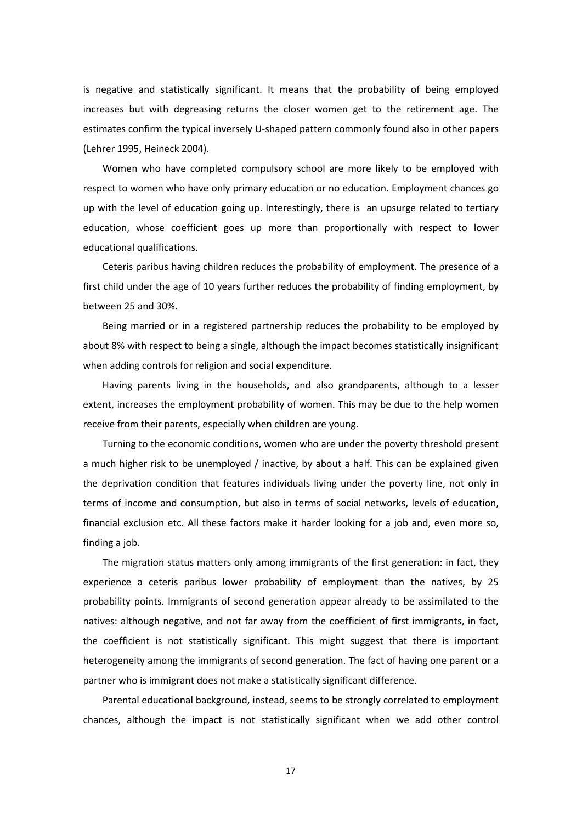is negative and statistically significant. It means that the probability of being employed increases but with degreasing returns the closer women get to the retirement age. The estimates confirm the typical inversely U-shaped pattern commonly found also in other papers (Lehrer 1995, Heineck 2004).

Women who have completed compulsory school are more likely to be employed with respect to women who have only primary education or no education. Employment chances go up with the level of education going up. Interestingly, there is an upsurge related to tertiary education, whose coefficient goes up more than proportionally with respect to lower educational qualifications.

Ceteris paribus having children reduces the probability of employment. The presence of a first child under the age of 10 years further reduces the probability of finding employment, by between 25 and 30%.

Being married or in a registered partnership reduces the probability to be employed by about 8% with respect to being a single, although the impact becomes statistically insignificant when adding controls for religion and social expenditure.

Having parents living in the households, and also grandparents, although to a lesser extent, increases the employment probability of women. This may be due to the help women receive from their parents, especially when children are young.

Turning to the economic conditions, women who are under the poverty threshold present a much higher risk to be unemployed / inactive, by about a half. This can be explained given the deprivation condition that features individuals living under the poverty line, not only in terms of income and consumption, but also in terms of social networks, levels of education, financial exclusion etc. All these factors make it harder looking for a job and, even more so, finding a job.

The migration status matters only among immigrants of the first generation: in fact, they experience a ceteris paribus lower probability of employment than the natives, by 25 probability points. Immigrants of second generation appear already to be assimilated to the natives: although negative, and not far away from the coefficient of first immigrants, in fact, the coefficient is not statistically significant. This might suggest that there is important heterogeneity among the immigrants of second generation. The fact of having one parent or a partner who is immigrant does not make a statistically significant difference.

Parental educational background, instead, seems to be strongly correlated to employment chances, although the impact is not statistically significant when we add other control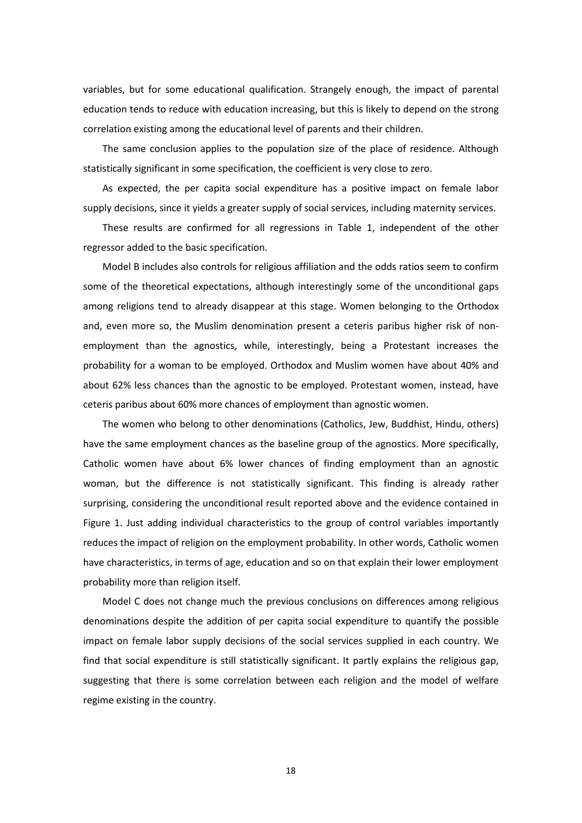variables, but for some educational qualification. Strangely enough, the impact of parental education tends to reduce with education increasing, but this is likely to depend on the strong correlation existing among the educational level of parents and their children.

The same conclusion applies to the population size of the place of residence. Although statistically significant in some specification, the coefficient is very close to zero.

As expected, the per capita social expenditure has a positive impact on female labor supply decisions, since it yields a greater supply of social services, including maternity services.

These results are confirmed for all regressions in Table 1, independent of the other regressor added to the basic specification.

Model B includes also controls for religious affiliation and the odds ratios seem to confirm some of the theoretical expectations, although interestingly some of the unconditional gaps among religions tend to already disappear at this stage. Women belonging to the Orthodox and, even more so, the Muslim denomination present a ceteris paribus higher risk of nonemployment than the agnostics, while, interestingly, being a Protestant increases the probability for a woman to be employed. Orthodox and Muslim women have about 40% and about 62% less chances than the agnostic to be employed. Protestant women, instead, have ceteris paribus about 60% more chances of employment than agnostic women.

The women who belong to other denominations (Catholics, Jew, Buddhist, Hindu, others) have the same employment chances as the baseline group of the agnostics. More specifically, Catholic women have about 6% lower chances of finding employment than an agnostic woman, but the difference is not statistically significant. This finding is already rather surprising, considering the unconditional result reported above and the evidence contained in Figure 1. Just adding individual characteristics to the group of control variables importantly reduces the impact of religion on the employment probability. In other words, Catholic women have characteristics, in terms of age, education and so on that explain their lower employment probability more than religion itself.

Model C does not change much the previous conclusions on differences among religious denominations despite the addition of per capita social expenditure to quantify the possible impact on female labor supply decisions of the social services supplied in each country. We find that social expenditure is still statistically significant. It partly explains the religious gap, suggesting that there is some correlation between each religion and the model of welfare regime existing in the country.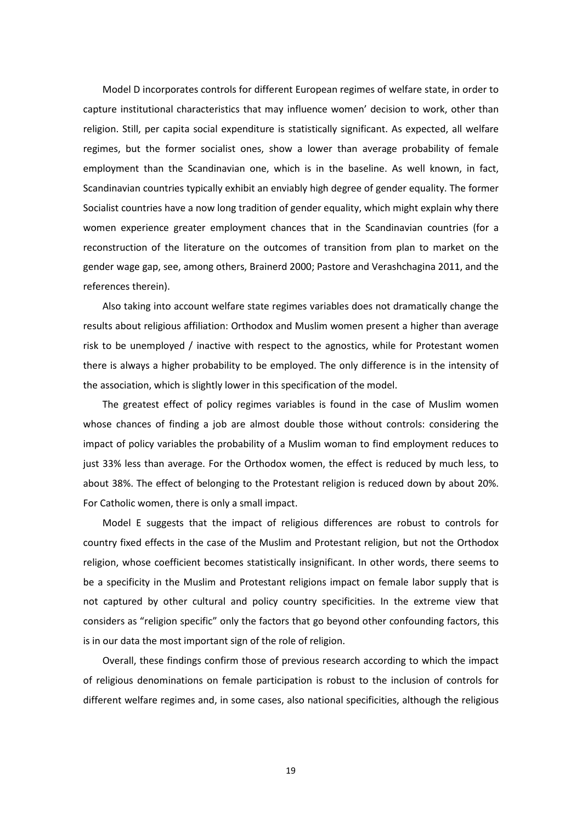Model D incorporates controls for different European regimes of welfare state, in order to capture institutional characteristics that may influence women' decision to work, other than religion. Still, per capita social expenditure is statistically significant. As expected, all welfare regimes, but the former socialist ones, show a lower than average probability of female employment than the Scandinavian one, which is in the baseline. As well known, in fact, Scandinavian countries typically exhibit an enviably high degree of gender equality. The former Socialist countries have a now long tradition of gender equality, which might explain why there women experience greater employment chances that in the Scandinavian countries (for a reconstruction of the literature on the outcomes of transition from plan to market on the gender wage gap, see, among others, Brainerd 2000; Pastore and Verashchagina 2011, and the references therein).

Also taking into account welfare state regimes variables does not dramatically change the results about religious affiliation: Orthodox and Muslim women present a higher than average risk to be unemployed / inactive with respect to the agnostics, while for Protestant women there is always a higher probability to be employed. The only difference is in the intensity of the association, which is slightly lower in this specification of the model.

The greatest effect of policy regimes variables is found in the case of Muslim women whose chances of finding a job are almost double those without controls: considering the impact of policy variables the probability of a Muslim woman to find employment reduces to just 33% less than average. For the Orthodox women, the effect is reduced by much less, to about 38%. The effect of belonging to the Protestant religion is reduced down by about 20%. For Catholic women, there is only a small impact.

Model E suggests that the impact of religious differences are robust to controls for country fixed effects in the case of the Muslim and Protestant religion, but not the Orthodox religion, whose coefficient becomes statistically insignificant. In other words, there seems to be a specificity in the Muslim and Protestant religions impact on female labor supply that is not captured by other cultural and policy country specificities. In the extreme view that considers as "religion specific" only the factors that go beyond other confounding factors, this is in our data the most important sign of the role of religion.

Overall, these findings confirm those of previous research according to which the impact of religious denominations on female participation is robust to the inclusion of controls for different welfare regimes and, in some cases, also national specificities, although the religious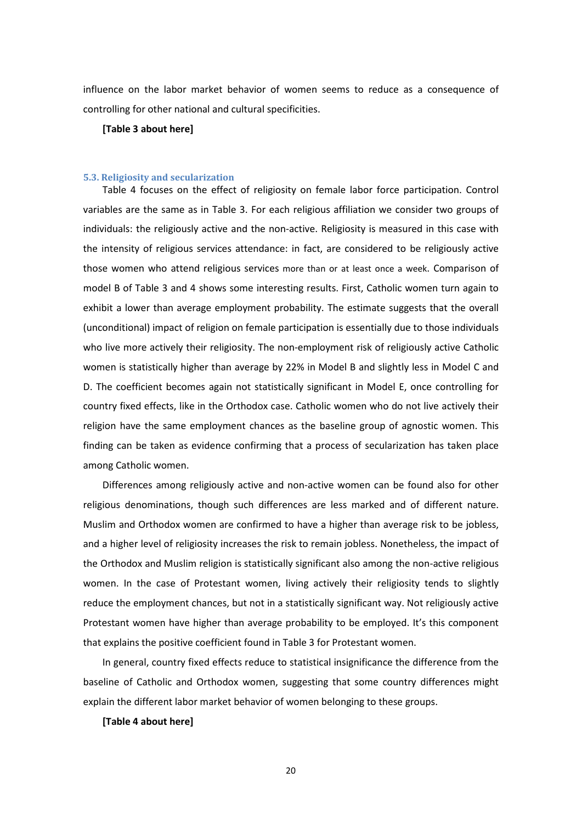influence on the labor market behavior of women seems to reduce as a consequence of controlling for other national and cultural specificities.

#### **[Table 3 about here]**

#### **5.3. Religiosity and secularization**

Table 4 focuses on the effect of religiosity on female labor force participation. Control variables are the same as in Table 3. For each religious affiliation we consider two groups of individuals: the religiously active and the non-active. Religiosity is measured in this case with the intensity of religious services attendance: in fact, are considered to be religiously active those women who attend religious services more than or at least once a week. Comparison of model B of Table 3 and 4 shows some interesting results. First, Catholic women turn again to exhibit a lower than average employment probability. The estimate suggests that the overall (unconditional) impact of religion on female participation is essentially due to those individuals who live more actively their religiosity. The non-employment risk of religiously active Catholic women is statistically higher than average by 22% in Model B and slightly less in Model C and D. The coefficient becomes again not statistically significant in Model E, once controlling for country fixed effects, like in the Orthodox case. Catholic women who do not live actively their religion have the same employment chances as the baseline group of agnostic women. This finding can be taken as evidence confirming that a process of secularization has taken place among Catholic women.

Differences among religiously active and non-active women can be found also for other religious denominations, though such differences are less marked and of different nature. Muslim and Orthodox women are confirmed to have a higher than average risk to be jobless, and a higher level of religiosity increases the risk to remain jobless. Nonetheless, the impact of the Orthodox and Muslim religion is statistically significant also among the non-active religious women. In the case of Protestant women, living actively their religiosity tends to slightly reduce the employment chances, but not in a statistically significant way. Not religiously active Protestant women have higher than average probability to be employed. It's this component that explains the positive coefficient found in Table 3 for Protestant women.

In general, country fixed effects reduce to statistical insignificance the difference from the baseline of Catholic and Orthodox women, suggesting that some country differences might explain the different labor market behavior of women belonging to these groups.

#### **[Table 4 about here]**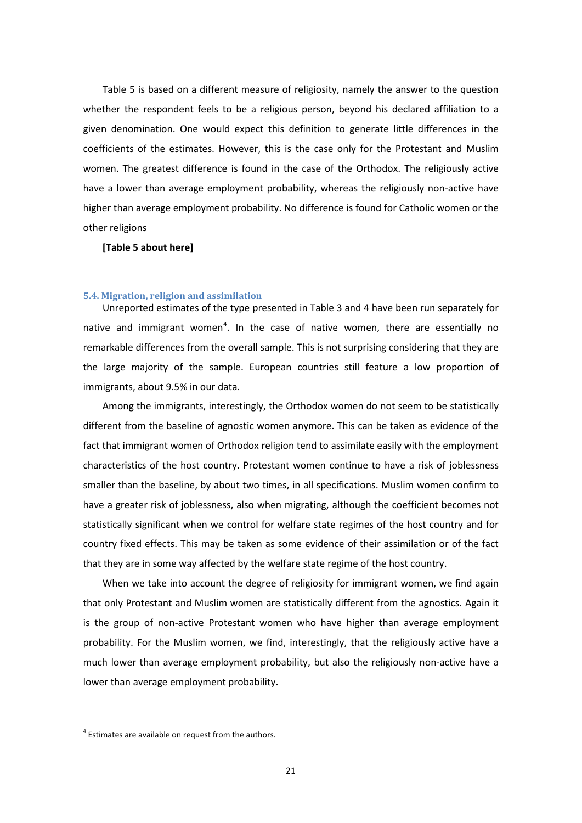Table 5 is based on a different measure of religiosity, namely the answer to the question whether the respondent feels to be a religious person, beyond his declared affiliation to a given denomination. One would expect this definition to generate little differences in the coefficients of the estimates. However, this is the case only for the Protestant and Muslim women. The greatest difference is found in the case of the Orthodox. The religiously active have a lower than average employment probability, whereas the religiously non-active have higher than average employment probability. No difference is found for Catholic women or the other religions

#### **[Table 5 about here]**

#### **5.4. Migration, religion and assimilation**

Unreported estimates of the type presented in Table 3 and 4 have been run separately for native and immigrant women<sup>[4](#page-17-0)</sup>. In the case of native women, there are essentially no remarkable differences from the overall sample. This is not surprising considering that they are the large majority of the sample. European countries still feature a low proportion of immigrants, about 9.5% in our data.

Among the immigrants, interestingly, the Orthodox women do not seem to be statistically different from the baseline of agnostic women anymore. This can be taken as evidence of the fact that immigrant women of Orthodox religion tend to assimilate easily with the employment characteristics of the host country. Protestant women continue to have a risk of joblessness smaller than the baseline, by about two times, in all specifications. Muslim women confirm to have a greater risk of joblessness, also when migrating, although the coefficient becomes not statistically significant when we control for welfare state regimes of the host country and for country fixed effects. This may be taken as some evidence of their assimilation or of the fact that they are in some way affected by the welfare state regime of the host country.

When we take into account the degree of religiosity for immigrant women, we find again that only Protestant and Muslim women are statistically different from the agnostics. Again it is the group of non-active Protestant women who have higher than average employment probability. For the Muslim women, we find, interestingly, that the religiously active have a much lower than average employment probability, but also the religiously non-active have a lower than average employment probability.

**.** 

 $4$  Estimates are available on request from the authors.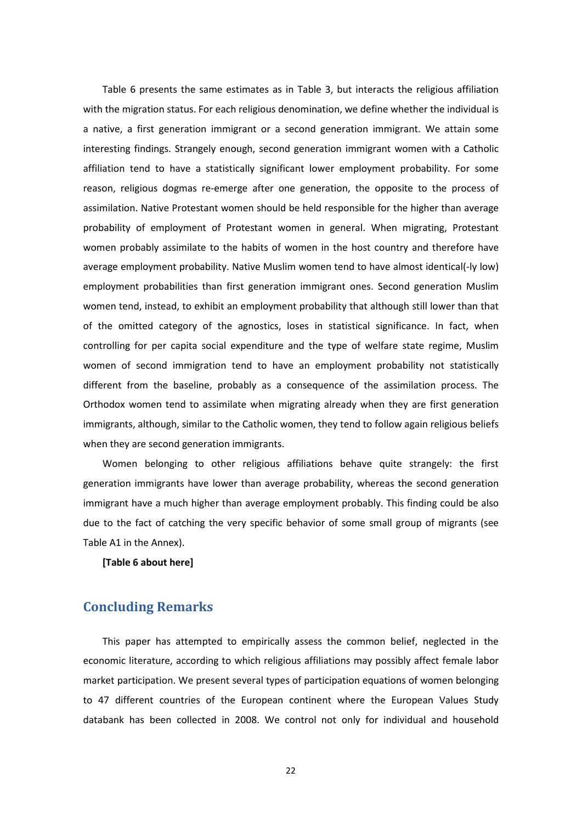Table 6 presents the same estimates as in Table 3, but interacts the religious affiliation with the migration status. For each religious denomination, we define whether the individual is a native, a first generation immigrant or a second generation immigrant. We attain some interesting findings. Strangely enough, second generation immigrant women with a Catholic affiliation tend to have a statistically significant lower employment probability. For some reason, religious dogmas re-emerge after one generation, the opposite to the process of assimilation. Native Protestant women should be held responsible for the higher than average probability of employment of Protestant women in general. When migrating, Protestant women probably assimilate to the habits of women in the host country and therefore have average employment probability. Native Muslim women tend to have almost identical(-ly low) employment probabilities than first generation immigrant ones. Second generation Muslim women tend, instead, to exhibit an employment probability that although still lower than that of the omitted category of the agnostics, loses in statistical significance. In fact, when controlling for per capita social expenditure and the type of welfare state regime, Muslim women of second immigration tend to have an employment probability not statistically different from the baseline, probably as a consequence of the assimilation process. The Orthodox women tend to assimilate when migrating already when they are first generation immigrants, although, similar to the Catholic women, they tend to follow again religious beliefs when they are second generation immigrants.

Women belonging to other religious affiliations behave quite strangely: the first generation immigrants have lower than average probability, whereas the second generation immigrant have a much higher than average employment probably. This finding could be also due to the fact of catching the very specific behavior of some small group of migrants (see Table A1 in the Annex).

**[Table 6 about here]**

## **Concluding Remarks**

This paper has attempted to empirically assess the common belief, neglected in the economic literature, according to which religious affiliations may possibly affect female labor market participation. We present several types of participation equations of women belonging to 47 different countries of the European continent where the European Values Study databank has been collected in 2008. We control not only for individual and household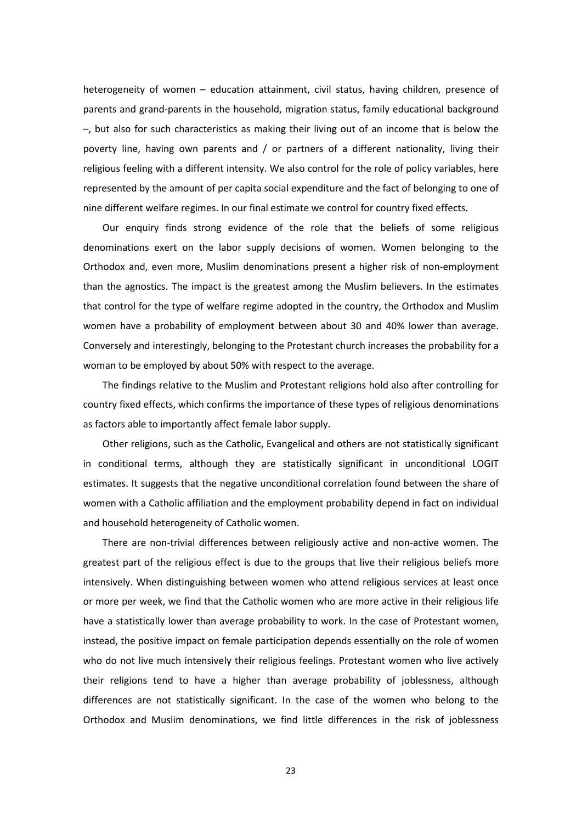heterogeneity of women – education attainment, civil status, having children, presence of parents and grand-parents in the household, migration status, family educational background –, but also for such characteristics as making their living out of an income that is below the poverty line, having own parents and / or partners of a different nationality, living their religious feeling with a different intensity. We also control for the role of policy variables, here represented by the amount of per capita social expenditure and the fact of belonging to one of nine different welfare regimes. In our final estimate we control for country fixed effects.

Our enquiry finds strong evidence of the role that the beliefs of some religious denominations exert on the labor supply decisions of women. Women belonging to the Orthodox and, even more, Muslim denominations present a higher risk of non-employment than the agnostics. The impact is the greatest among the Muslim believers. In the estimates that control for the type of welfare regime adopted in the country, the Orthodox and Muslim women have a probability of employment between about 30 and 40% lower than average. Conversely and interestingly, belonging to the Protestant church increases the probability for a woman to be employed by about 50% with respect to the average.

The findings relative to the Muslim and Protestant religions hold also after controlling for country fixed effects, which confirms the importance of these types of religious denominations as factors able to importantly affect female labor supply.

Other religions, such as the Catholic, Evangelical and others are not statistically significant in conditional terms, although they are statistically significant in unconditional LOGIT estimates. It suggests that the negative unconditional correlation found between the share of women with a Catholic affiliation and the employment probability depend in fact on individual and household heterogeneity of Catholic women.

There are non-trivial differences between religiously active and non-active women. The greatest part of the religious effect is due to the groups that live their religious beliefs more intensively. When distinguishing between women who attend religious services at least once or more per week, we find that the Catholic women who are more active in their religious life have a statistically lower than average probability to work. In the case of Protestant women, instead, the positive impact on female participation depends essentially on the role of women who do not live much intensively their religious feelings. Protestant women who live actively their religions tend to have a higher than average probability of joblessness, although differences are not statistically significant. In the case of the women who belong to the Orthodox and Muslim denominations, we find little differences in the risk of joblessness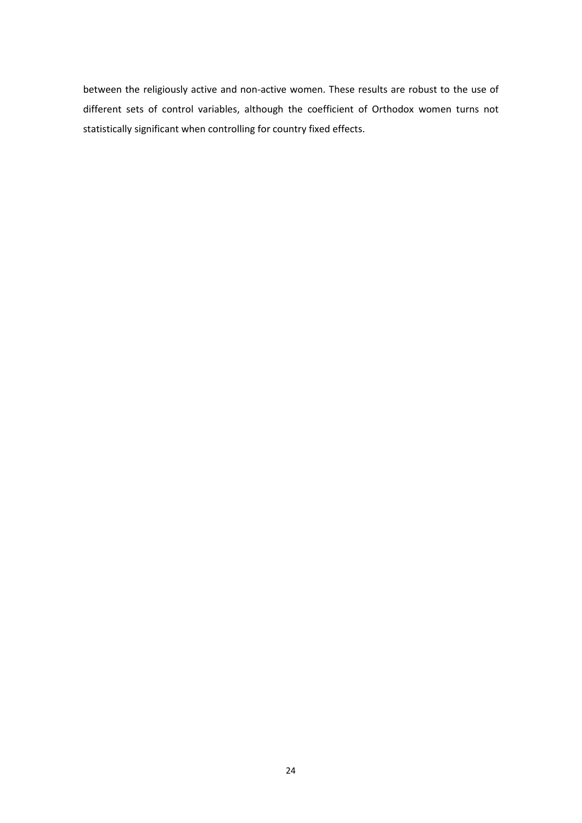between the religiously active and non-active women. These results are robust to the use of different sets of control variables, although the coefficient of Orthodox women turns not statistically significant when controlling for country fixed effects.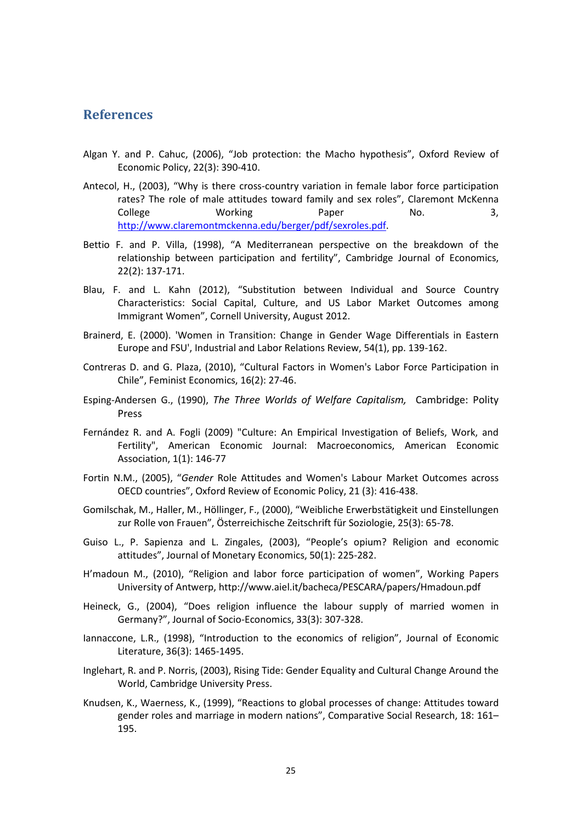## **References**

- Algan Y. and P. Cahuc, (2006), "Job protection: the Macho hypothesis", Oxford Review of Economic Policy, 22(3): 390-410.
- Antecol, H., (2003), "Why is there cross-country variation in female labor force participation rates? The role of male attitudes toward family and sex roles", Claremont McKenna College Morking Paper No. 3, [http://www.claremontmckenna.edu/berger/pdf/sexroles.pdf.](http://www.claremontmckenna.edu/berger/pdf/sexroles.pdf)
- Bettio F. and P. Villa, (1998), "A Mediterranean perspective on the breakdown of the relationship between participation and fertility", Cambridge Journal of Economics, 22(2): 137-171.
- Blau, F. and L. Kahn (2012), "Substitution between Individual and Source Country Characteristics: Social Capital, Culture, and US Labor Market Outcomes among Immigrant Women", Cornell University, August 2012.
- Brainerd, E. (2000). 'Women in Transition: Change in Gender Wage Differentials in Eastern Europe and FSU', Industrial and Labor Relations Review, 54(1), pp. 139-162.
- Contreras D. and G. Plaza, (2010), "Cultural Factors in Women's Labor Force Participation in Chile", Feminist Economics, 16(2): 27-46.
- Esping-Andersen G., (1990), *The Three Worlds of Welfare Capitalism,* Cambridge: Polity Press
- Fernández R. and A. Fogli (2009) "Culture: An Empirical Investigation of Beliefs, Work, and Fertility", American Economic Journal: Macroeconomics, American Economic Association, 1(1): 146-77
- Fortin N.M., (2005), "*Gender* Role Attitudes and Women's Labour Market Outcomes across OECD countries", Oxford Review of Economic Policy, 21 (3): 416-438.
- Gomilschak, M., Haller, M., Höllinger, F., (2000), "Weibliche Erwerbstätigkeit und Einstellungen zur Rolle von Frauen", Österreichische Zeitschrift für Soziologie, 25(3): 65-78.
- Guiso L., P. Sapienza and L. Zingales, (2003), "People's opium? Religion and economic attitudes", Journal of Monetary Economics, 50(1): 225-282.
- H'madoun M., (2010), "Religion and labor force participation of women", [Working Papers](http://econpapers.repec.org/paper/antwpaper/) University of Antwerp, http://www.aiel.it/bacheca/PESCARA/papers/Hmadoun.pdf
- Heineck, G., (2004), "Does religion influence the labour supply of married women in Germany?", Journal of Socio-Economics, 33(3): 307-328.
- Iannaccone, L.R., (1998), "Introduction to the economics of religion", Journal of Economic Literature, 36(3): 1465-1495.
- Inglehart, R. and P. Norris, (2003), Rising Tide: Gender Equality and Cultural Change Around the World, Cambridge University Press.
- Knudsen, K., Waerness, K., (1999), "Reactions to global processes of change: Attitudes toward gender roles and marriage in modern nations", Comparative Social Research, 18: 161– 195.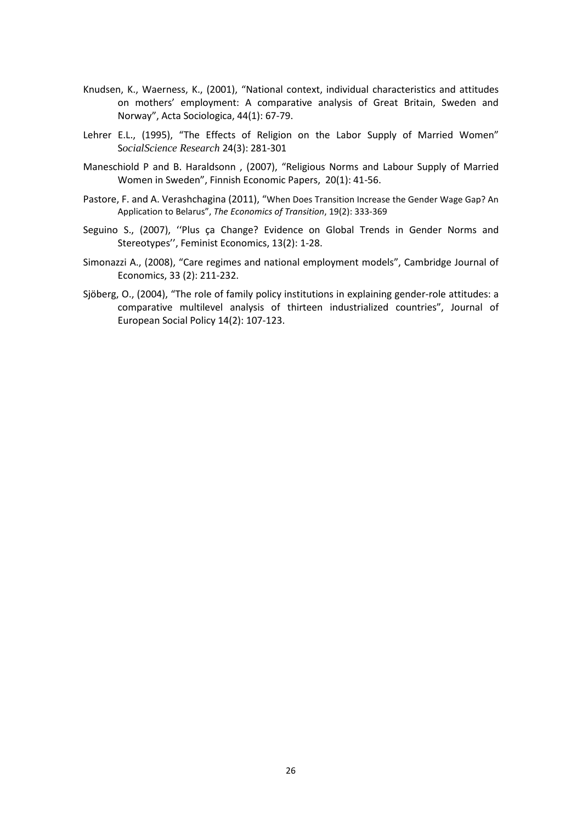- Knudsen, K., Waerness, K., (2001), "National context, individual characteristics and attitudes on mothers' employment: A comparative analysis of Great Britain, Sweden and Norway", Acta Sociologica, 44(1): 67-79.
- Lehrer E.L., (1995), "The Effects of Religion on the Labor Supply of Married Women" S*ocialScience Research* 24(3): 281-301
- Maneschiold P and B. Haraldsonn , (2007), "Religious Norms and Labour Supply of Married Women in Sweden"[, Finnish Economic Papers,](http://econpapers.repec.org/article/fepjournl/) 20(1): 41-56.
- Pastore, F. and A. Verashchagina (2011), "When Does Transition Increase the Gender Wage Gap? An Application to Belarus", *The Economics of Transition*, 19(2): 333-369
- Seguino S., (2007), ''Plus ça Change? Evidence on Global Trends in Gender Norms and Stereotypes'', Feminist Economics, 13(2): 1-28.
- Simonazzi A., (2008), "Care regimes and national employment models", Cambridge Journal of Economics, 33 (2): 211-232.
- Sjöberg, O., (2004), "The role of family policy institutions in explaining gender-role attitudes: a comparative multilevel analysis of thirteen industrialized countries", Journal of European Social Policy 14(2): 107-123.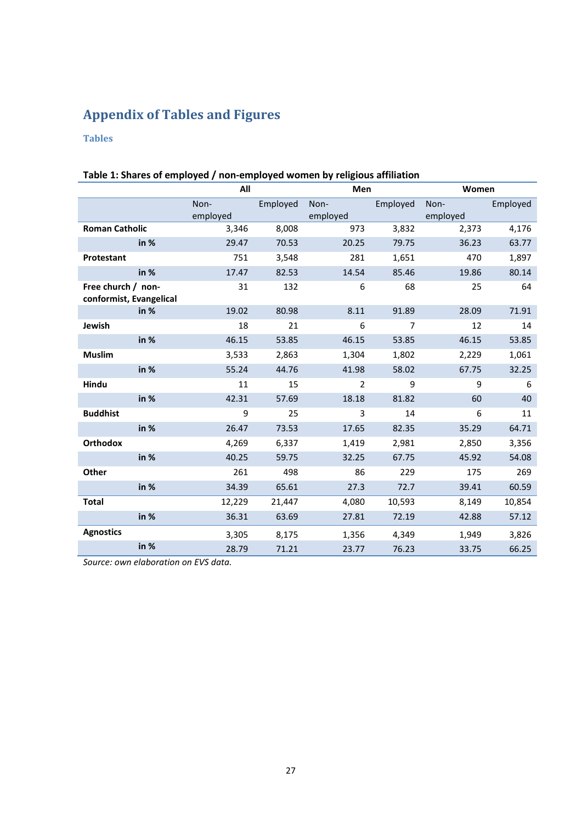## **Appendix of Tables and Figures**

## **Tables**

|                                               | All              |          | Men              |                | Women            |          |
|-----------------------------------------------|------------------|----------|------------------|----------------|------------------|----------|
|                                               | Non-<br>employed | Employed | Non-<br>employed | Employed       | Non-<br>employed | Employed |
| <b>Roman Catholic</b>                         | 3,346            | 8,008    | 973              | 3,832          | 2,373            | 4,176    |
| in %                                          | 29.47            | 70.53    | 20.25            | 79.75          | 36.23            | 63.77    |
| Protestant                                    | 751              | 3,548    | 281              | 1,651          | 470              | 1,897    |
| in %                                          | 17.47            | 82.53    | 14.54            | 85.46          | 19.86            | 80.14    |
| Free church / non-<br>conformist, Evangelical | 31               | 132      | 6                | 68             | 25               | 64       |
| in $%$                                        | 19.02            | 80.98    | 8.11             | 91.89          | 28.09            | 71.91    |
| Jewish                                        | 18               | 21       | 6                | $\overline{7}$ | 12               | 14       |
| in %                                          | 46.15            | 53.85    | 46.15            | 53.85          | 46.15            | 53.85    |
| <b>Muslim</b>                                 | 3,533            | 2,863    | 1,304            | 1,802          | 2,229            | 1,061    |
| in %                                          | 55.24            | 44.76    | 41.98            | 58.02          | 67.75            | 32.25    |
| Hindu                                         | 11               | 15       | $\overline{2}$   | 9              | 9                | 6        |
| in %                                          | 42.31            | 57.69    | 18.18            | 81.82          | 60               | 40       |
| <b>Buddhist</b>                               | 9                | 25       | 3                | 14             | 6                | 11       |
| in %                                          | 26.47            | 73.53    | 17.65            | 82.35          | 35.29            | 64.71    |
| <b>Orthodox</b>                               | 4,269            | 6,337    | 1,419            | 2,981          | 2,850            | 3,356    |
| in %                                          | 40.25            | 59.75    | 32.25            | 67.75          | 45.92            | 54.08    |
| Other                                         | 261              | 498      | 86               | 229            | 175              | 269      |
| in %                                          | 34.39            | 65.61    | 27.3             | 72.7           | 39.41            | 60.59    |
| <b>Total</b>                                  | 12,229           | 21,447   | 4,080            | 10,593         | 8,149            | 10,854   |
| in %                                          | 36.31            | 63.69    | 27.81            | 72.19          | 42.88            | 57.12    |
| <b>Agnostics</b>                              | 3,305            | 8,175    | 1,356            | 4,349          | 1,949            | 3,826    |
| in %                                          | 28.79            | 71.21    | 23.77            | 76.23          | 33.75            | 66.25    |

## **Table 1: Shares of employed / non-employed women by religious affiliation**

*Source: own elaboration on EVS data.*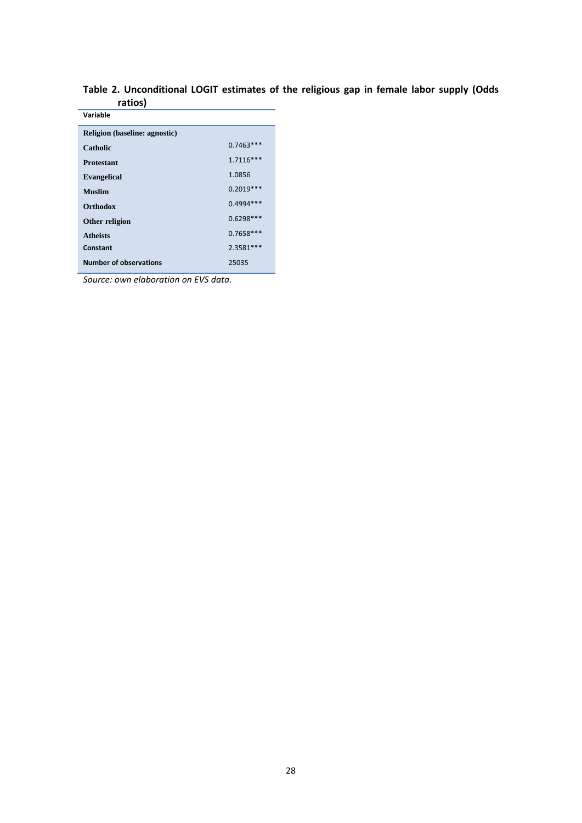| 1 auvoj                       |             |
|-------------------------------|-------------|
| Variable                      |             |
| Religion (baseline: agnostic) |             |
| Catholic                      | $0.7463***$ |
| <b>Protestant</b>             | $1.7116***$ |
| <b>Evangelical</b>            | 1.0856      |
| <b>Muslim</b>                 | $0.2019***$ |
| <b>Orthodox</b>               | $0.4994***$ |
| Other religion                | $0.6298***$ |
| <b>Atheists</b>               | $0.7658***$ |
| Constant                      | 2.3581 ***  |
| <b>Number of observations</b> | 25035       |

**Table 2. Unconditional LOGIT estimates of the religious gap in female labor supply (Odds ratios)**

*Source: own elaboration on EVS data.*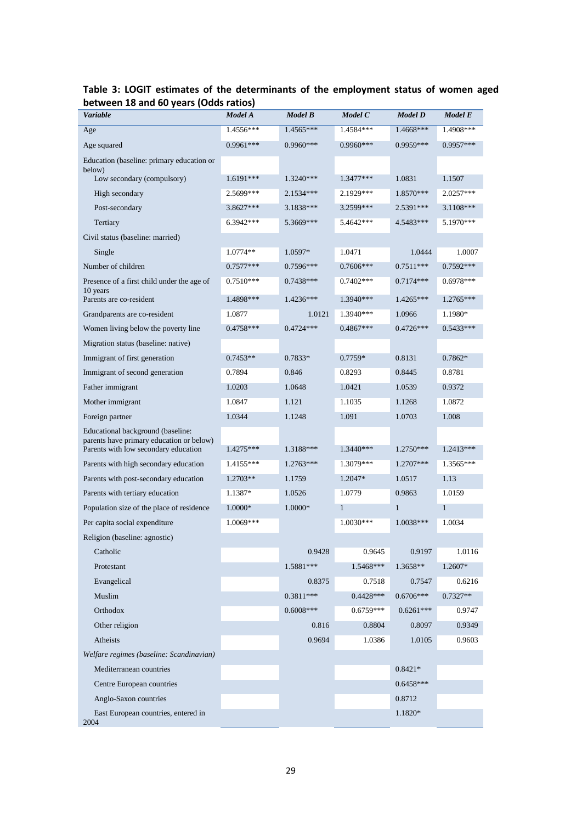| $\mathbf{y}$<br>Variable                                                         | Model A     | Model B     | Model C      | Model D      | Model E      |
|----------------------------------------------------------------------------------|-------------|-------------|--------------|--------------|--------------|
| Age                                                                              | $1.4556***$ | 1.4565***   | $1.4584***$  | 1.4668***    | $1.4908***$  |
| Age squared                                                                      | 0.9961***   | 0.9960***   | 0.9960***    | 0.9959***    | 0.9957***    |
| Education (baseline: primary education or                                        |             |             |              |              |              |
| below)<br>Low secondary (compulsory)                                             | $1.6191***$ | $1.3240***$ | 1.3477***    | 1.0831       | 1.1507       |
| High secondary                                                                   | 2.5699***   | 2.1534***   | 2.1929***    | 1.8570***    | 2.0257***    |
| Post-secondary                                                                   | 3.8627***   | 3.1838***   | 3.2599***    | 2.5391***    | 3.1108***    |
| Tertiary                                                                         | 6.3942***   | 5.3669***   | 5.4642***    | 4.5483***    | 5.1970 ***   |
| Civil status (baseline: married)                                                 |             |             |              |              |              |
| Single                                                                           | $1.0774**$  | 1.0597*     | 1.0471       | 1.0444       | 1.0007       |
| Number of children                                                               | $0.7577***$ | $0.7596***$ | $0.7606***$  | $0.7511***$  | $0.7592***$  |
| Presence of a first child under the age of                                       | $0.7510***$ | $0.7438***$ | $0.7402***$  | $0.7174***$  | $0.6978***$  |
| 10 years<br>Parents are co-resident                                              | 1.4898***   | 1.4236***   | $1.3940***$  | $1.4265***$  | 1.2765***    |
| Grandparents are co-resident                                                     | 1.0877      | 1.0121      | 1.3940***    | 1.0966       | 1.1980*      |
| Women living below the poverty line                                              | $0.4758***$ | 0.4724 ***  | $0.4867***$  | 0.4726***    | $0.5433***$  |
| Migration status (baseline: native)                                              |             |             |              |              |              |
| Immigrant of first generation                                                    | $0.7453**$  | 0.7833*     | $0.7759*$    | 0.8131       | $0.7862*$    |
| Immigrant of second generation                                                   | 0.7894      | 0.846       | 0.8293       | 0.8445       | 0.8781       |
| Father immigrant                                                                 | 1.0203      | 1.0648      | 1.0421       | 1.0539       | 0.9372       |
| Mother immigrant                                                                 | 1.0847      | 1.121       | 1.1035       | 1.1268       | 1.0872       |
| Foreign partner                                                                  | 1.0344      | 1.1248      | 1.091        | 1.0703       | 1.008        |
| Educational background (baseline:                                                |             |             |              |              |              |
| parents have primary education or below)<br>Parents with low secondary education | 1.4275***   | 1.3188***   | 1.3440***    | $1.2750***$  | 1.2413***    |
| Parents with high secondary education                                            | 1.4155***   | $1.2763***$ | 1.3079***    | $1.2707***$  | 1.3565***    |
| Parents with post-secondary education                                            | 1.2703**    | 1.1759      | 1.2047*      | 1.0517       | 1.13         |
| Parents with tertiary education                                                  | 1.1387*     | 1.0526      | 1.0779       | 0.9863       | 1.0159       |
| Population size of the place of residence                                        | 1.0000*     | 1.0000*     | $\mathbf{1}$ | $\mathbf{1}$ | $\mathbf{1}$ |
| Per capita social expenditure                                                    | 1.0069***   |             | 1.0030***    | 1.0038***    | 1.0034       |
| Religion (baseline: agnostic)                                                    |             |             |              |              |              |
| Catholic                                                                         |             | 0.9428      | 0.9645       | 0.9197       | 1.0116       |
| Protestant                                                                       |             | 1.5881 ***  | 1.5468***    | 1.3658**     | 1.2607*      |
| Evangelical                                                                      |             | 0.8375      | 0.7518       | 0.7547       | 0.6216       |
| Muslim                                                                           |             | $0.3811***$ | $0.4428***$  | $0.6706***$  | $0.7327**$   |
| Orthodox                                                                         |             | $0.6008***$ | $0.6759***$  | $0.6261***$  | 0.9747       |
| Other religion                                                                   |             | 0.816       | 0.8804       | 0.8097       | 0.9349       |
| Atheists                                                                         |             | 0.9694      | 1.0386       | 1.0105       | 0.9603       |
| Welfare regimes (baseline: Scandinavian)                                         |             |             |              |              |              |
| Mediterranean countries                                                          |             |             |              | $0.8421*$    |              |
| Centre European countries                                                        |             |             |              | $0.6458***$  |              |
| Anglo-Saxon countries                                                            |             |             |              | 0.8712       |              |
| East European countries, entered in<br>2004                                      |             |             |              | 1.1820*      |              |

### **Table 3: LOGIT estimates of the determinants of the employment status of women aged between 18 and 60 years (Odds ratios)**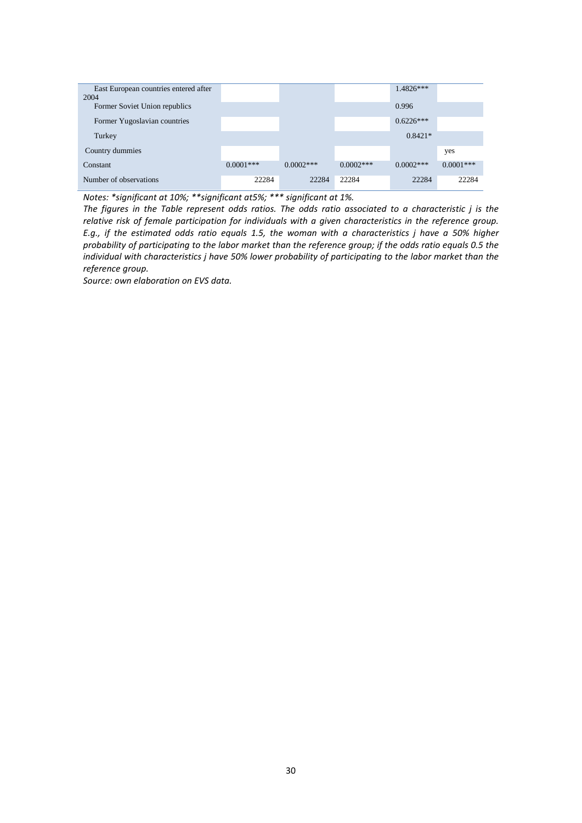| East European countries entered after<br>2004 |             |             |             | $1.4826***$ |             |
|-----------------------------------------------|-------------|-------------|-------------|-------------|-------------|
| Former Soviet Union republics                 |             |             |             | 0.996       |             |
| Former Yugoslavian countries                  |             |             |             | $0.6226***$ |             |
| Turkey                                        |             |             |             | $0.8421*$   |             |
| Country dummies                               |             |             |             |             | yes         |
| Constant                                      | $0.0001***$ | $0.0002***$ | $0.0002***$ | $0.0002***$ | $0.0001***$ |
| Number of observations                        | 22284       | 22284       | 22284       | 22284       | 22284       |

*Notes: \*significant at 10%; \*\*significant at5%; \*\*\* significant at 1%.*

*The figures in the Table represent odds ratios. The odds ratio associated to a characteristic j is the relative risk of female participation for individuals with a given characteristics in the reference group. E.g., if the estimated odds ratio equals 1.5, the woman with a characteristics j have a 50% higher probability of participating to the labor market than the reference group; if the odds ratio equals 0.5 the individual with characteristics j have 50% lower probability of participating to the labor market than the reference group.* 

*Source: own elaboration on EVS data.*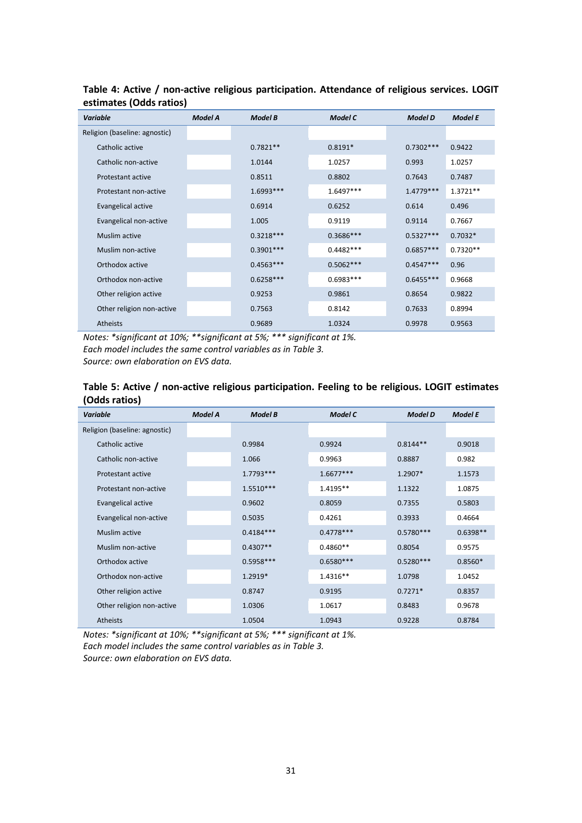| <b>Variable</b>               | <b>Model A</b> | <b>Model B</b> | <b>Model C</b> | <b>Model D</b> | <b>Model E</b> |
|-------------------------------|----------------|----------------|----------------|----------------|----------------|
| Religion (baseline: agnostic) |                |                |                |                |                |
| Catholic active               |                | $0.7821**$     | $0.8191*$      | $0.7302***$    | 0.9422         |
| Catholic non-active           |                | 1.0144         | 1.0257         | 0.993          | 1.0257         |
| Protestant active             |                | 0.8511         | 0.8802         | 0.7643         | 0.7487         |
| Protestant non-active         |                | $1.6993***$    | $1.6497***$    | $1.4779***$    | $1.3721**$     |
| Evangelical active            |                | 0.6914         | 0.6252         | 0.614          | 0.496          |
| Evangelical non-active        |                | 1.005          | 0.9119         | 0.9114         | 0.7667         |
| Muslim active                 |                | $0.3218***$    | $0.3686***$    | $0.5327***$    | $0.7032*$      |
| Muslim non-active             |                | $0.3901***$    | $0.4482***$    | $0.6857***$    | $0.7320**$     |
| Orthodox active               |                | $0.4563***$    | $0.5062***$    | $0.4547***$    | 0.96           |
| Orthodox non-active           |                | $0.6258***$    | $0.6983***$    | $0.6455***$    | 0.9668         |
| Other religion active         |                | 0.9253         | 0.9861         | 0.8654         | 0.9822         |
| Other religion non-active     |                | 0.7563         | 0.8142         | 0.7633         | 0.8994         |
| <b>Atheists</b>               |                | 0.9689         | 1.0324         | 0.9978         | 0.9563         |

**Table 4: Active / non-active religious participation. Attendance of religious services. LOGIT estimates (Odds ratios)**

*Notes: \*significant at 10%; \*\*significant at 5%; \*\*\* significant at 1%. Each model includes the same control variables as in Table 3. Source: own elaboration on EVS data.*

### **Table 5: Active / non-active religious participation. Feeling to be religious. LOGIT estimates (Odds ratios)**

| <b>Variable</b>               | <b>Model A</b> | <b>Model B</b> | <b>Model C</b> | <b>Model D</b> | <b>Model E</b> |
|-------------------------------|----------------|----------------|----------------|----------------|----------------|
| Religion (baseline: agnostic) |                |                |                |                |                |
| Catholic active               |                | 0.9984         | 0.9924         | $0.8144**$     | 0.9018         |
| Catholic non-active           |                | 1.066          | 0.9963         | 0.8887         | 0.982          |
| Protestant active             |                | $1.7793***$    | $1.6677***$    | 1.2907*        | 1.1573         |
| Protestant non-active         |                | $1.5510***$    | 1.4195**       | 1.1322         | 1.0875         |
| Evangelical active            |                | 0.9602         | 0.8059         | 0.7355         | 0.5803         |
| Evangelical non-active        |                | 0.5035         | 0.4261         | 0.3933         | 0.4664         |
| Muslim active                 |                | $0.4184***$    | $0.4778***$    | $0.5780***$    | $0.6398**$     |
| Muslim non-active             |                | $0.4307**$     | $0.4860**$     | 0.8054         | 0.9575         |
| Orthodox active               |                | $0.5958***$    | $0.6580***$    | $0.5280***$    | $0.8560*$      |
| Orthodox non-active           |                | $1.2919*$      | 1.4316**       | 1.0798         | 1.0452         |
| Other religion active         |                | 0.8747         | 0.9195         | $0.7271*$      | 0.8357         |
| Other religion non-active     |                | 1.0306         | 1.0617         | 0.8483         | 0.9678         |
| <b>Atheists</b>               |                | 1.0504         | 1.0943         | 0.9228         | 0.8784         |

*Notes: \*significant at 10%; \*\*significant at 5%; \*\*\* significant at 1%. Each model includes the same control variables as in Table 3. Source: own elaboration on EVS data.*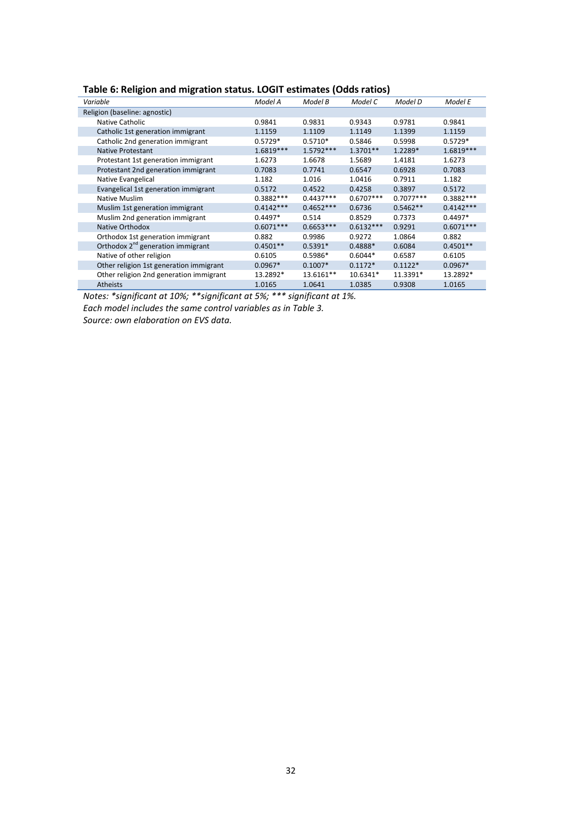| Table 6: Religion and migration status. LOGIT estimates (Odds ratios) |         |         |         |         |         |
|-----------------------------------------------------------------------|---------|---------|---------|---------|---------|
| Variable                                                              | Model A | Model B | Model C | Model D | Model E |
|                                                                       |         |         |         |         |         |

| Variable                                      | Model A     | Model B     | Model C     | Model D     | Model E     |
|-----------------------------------------------|-------------|-------------|-------------|-------------|-------------|
| Religion (baseline: agnostic)                 |             |             |             |             |             |
| Native Catholic                               | 0.9841      | 0.9831      | 0.9343      | 0.9781      | 0.9841      |
| Catholic 1st generation immigrant             | 1.1159      | 1.1109      | 1.1149      | 1.1399      | 1.1159      |
| Catholic 2nd generation immigrant             | $0.5729*$   | $0.5710*$   | 0.5846      | 0.5998      | $0.5729*$   |
| <b>Native Protestant</b>                      | 1.6819***   | $1.5792***$ | 1.3701**    | 1.2289*     | 1.6819***   |
| Protestant 1st generation immigrant           | 1.6273      | 1.6678      | 1.5689      | 1.4181      | 1.6273      |
| Protestant 2nd generation immigrant           | 0.7083      | 0.7741      | 0.6547      | 0.6928      | 0.7083      |
| Native Evangelical                            | 1.182       | 1.016       | 1.0416      | 0.7911      | 1.182       |
| Evangelical 1st generation immigrant          | 0.5172      | 0.4522      | 0.4258      | 0.3897      | 0.5172      |
| Native Muslim                                 | $0.3882***$ | $0.4437***$ | $0.6707***$ | $0.7077***$ | $0.3882***$ |
| Muslim 1st generation immigrant               | $0.4142***$ | $0.4652***$ | 0.6736      | $0.5462**$  | $0.4142***$ |
| Muslim 2nd generation immigrant               | $0.4497*$   | 0.514       | 0.8529      | 0.7373      | $0.4497*$   |
| Native Orthodox                               | $0.6071***$ | $0.6653***$ | $0.6132***$ | 0.9291      | $0.6071***$ |
| Orthodox 1st generation immigrant             | 0.882       | 0.9986      | 0.9272      | 1.0864      | 0.882       |
| Orthodox 2 <sup>nd</sup> generation immigrant | $0.4501**$  | $0.5391*$   | $0.4888*$   | 0.6084      | $0.4501**$  |
| Native of other religion                      | 0.6105      | $0.5986*$   | $0.6044*$   | 0.6587      | 0.6105      |
| Other religion 1st generation immigrant       | $0.0967*$   | $0.1007*$   | $0.1172*$   | $0.1122*$   | $0.0967*$   |
| Other religion 2nd generation immigrant       | 13.2892*    | 13.6161**   | 10.6341*    | 11.3391*    | 13.2892*    |
| <b>Atheists</b>                               | 1.0165      | 1.0641      | 1.0385      | 0.9308      | 1.0165      |

*Notes: \*significant at 10%; \*\*significant at 5%; \*\*\* significant at 1%.*

*Each model includes the same control variables as in Table 3.*

*Source: own elaboration on EVS data.*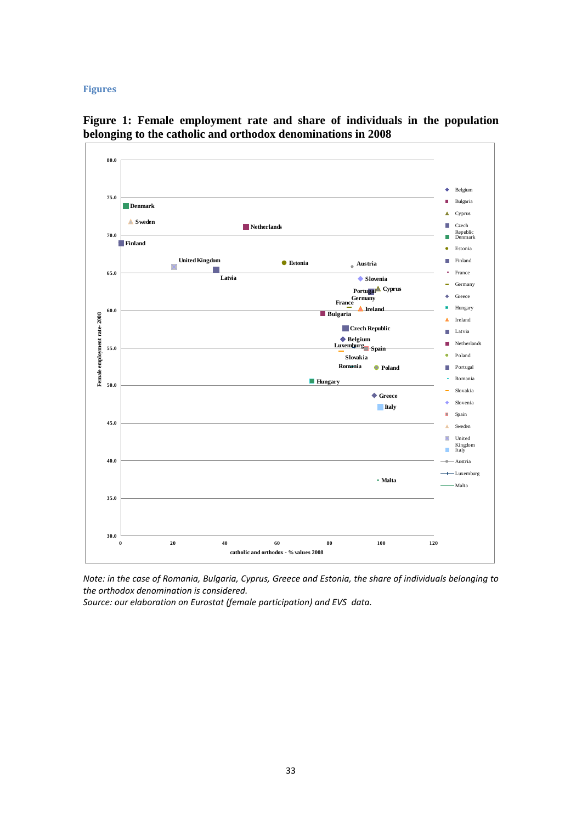#### **Figures**



**Figure 1: Female employment rate and share of individuals in the population belonging to the catholic and orthodox denominations in 2008**

*Note: in the case of Romania, Bulgaria, Cyprus, Greece and Estonia, the share of individuals belonging to the orthodox denomination is considered.* 

*Source: our elaboration on Eurostat (female participation) and EVS data.*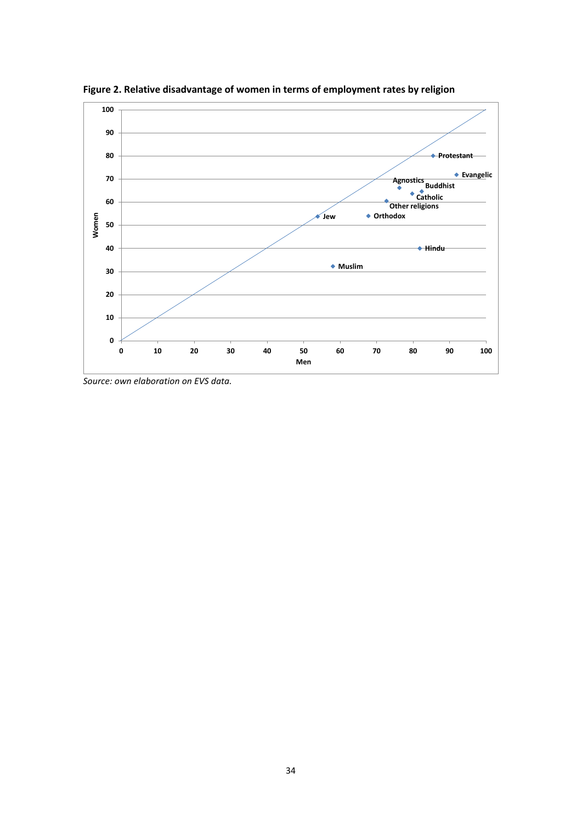

**Figure 2. Relative disadvantage of women in terms of employment rates by religion**

*Source: own elaboration on EVS data.*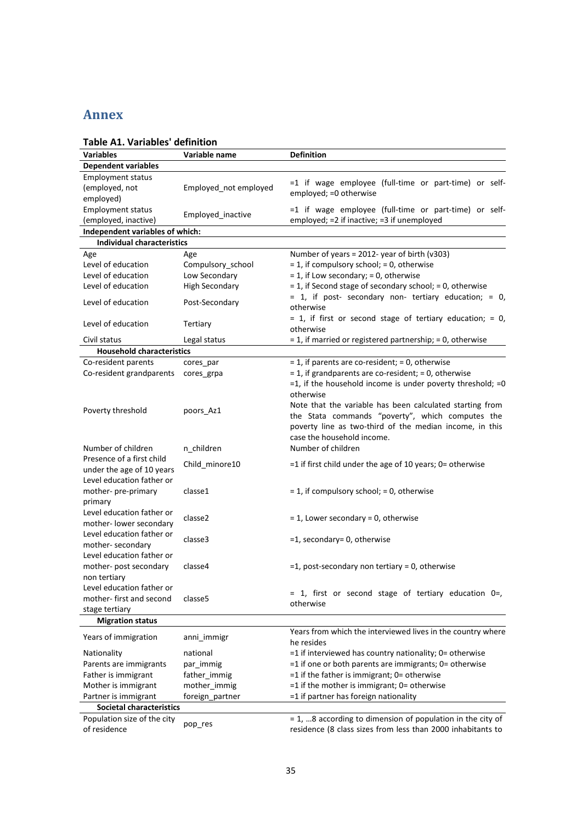## **Annex**

| Table AI. Variables definition                         |                       |                                                                                                                                                                                                                    |
|--------------------------------------------------------|-----------------------|--------------------------------------------------------------------------------------------------------------------------------------------------------------------------------------------------------------------|
| <b>Variables</b>                                       | Variable name         | <b>Definition</b>                                                                                                                                                                                                  |
| <b>Dependent variables</b>                             |                       |                                                                                                                                                                                                                    |
| <b>Employment status</b>                               |                       | =1 if wage employee (full-time or part-time) or self-                                                                                                                                                              |
| (employed, not                                         | Employed_not employed | employed; = 0 otherwise                                                                                                                                                                                            |
| employed)                                              |                       |                                                                                                                                                                                                                    |
| <b>Employment status</b>                               | Employed_inactive     | =1 if wage employee (full-time or part-time) or self-                                                                                                                                                              |
| (employed, inactive)                                   |                       | employed; =2 if inactive; =3 if unemployed                                                                                                                                                                         |
| Independent variables of which:                        |                       |                                                                                                                                                                                                                    |
| <b>Individual characteristics</b>                      |                       |                                                                                                                                                                                                                    |
| Age                                                    | Age                   | Number of years = 2012- year of birth ( $v303$ )                                                                                                                                                                   |
| Level of education                                     | Compulsory_school     | $= 1$ , if compulsory school; $= 0$ , otherwise                                                                                                                                                                    |
| Level of education                                     | Low Secondary         | = 1, if Low secondary; = 0, otherwise                                                                                                                                                                              |
| Level of education                                     | <b>High Secondary</b> | $= 1$ , if Second stage of secondary school; $= 0$ , otherwise                                                                                                                                                     |
| Level of education                                     | Post-Secondary        | = 1, if post- secondary non- tertiary education; = 0,<br>otherwise                                                                                                                                                 |
| Level of education                                     | Tertiary              | $= 1$ , if first or second stage of tertiary education; $= 0$ ,<br>otherwise                                                                                                                                       |
| Civil status                                           | Legal status          | $=$ 1, if married or registered partnership; $=$ 0, otherwise                                                                                                                                                      |
| <b>Household characteristics</b>                       |                       |                                                                                                                                                                                                                    |
| Co-resident parents                                    | cores_par             | $= 1$ , if parents are co-resident; $= 0$ , otherwise                                                                                                                                                              |
| Co-resident grandparents                               | cores_grpa            | $= 1$ , if grandparents are co-resident; $= 0$ , otherwise                                                                                                                                                         |
|                                                        |                       | $=1$ , if the household income is under poverty threshold; $=0$                                                                                                                                                    |
| Poverty threshold                                      | poors Az1             | otherwise<br>Note that the variable has been calculated starting from<br>the Stata commands "poverty", which computes the<br>poverty line as two-third of the median income, in this<br>case the household income. |
| Number of children                                     | n children            | Number of children                                                                                                                                                                                                 |
| Presence of a first child<br>under the age of 10 years | Child_minore10        | $=$ 1 if first child under the age of 10 years; 0= otherwise                                                                                                                                                       |
| Level education father or                              |                       |                                                                                                                                                                                                                    |
| mother- pre-primary                                    | classe1               | = 1, if compulsory school; = 0, otherwise                                                                                                                                                                          |
| primary                                                |                       |                                                                                                                                                                                                                    |
| Level education father or                              |                       |                                                                                                                                                                                                                    |
| mother-lower secondary                                 | classe2               | $= 1$ , Lower secondary $= 0$ , otherwise                                                                                                                                                                          |
| Level education father or                              |                       |                                                                                                                                                                                                                    |
| mother-secondary                                       | classe3               | =1, secondary= 0, otherwise                                                                                                                                                                                        |
| Level education father or                              |                       |                                                                                                                                                                                                                    |
| mother- post secondary                                 | classe4               | $=$ 1, post-secondary non tertiary = 0, otherwise                                                                                                                                                                  |
| non tertiary                                           |                       |                                                                                                                                                                                                                    |
| Level education father or                              |                       |                                                                                                                                                                                                                    |
| mother-first and second                                | classe5               | $= 1$ , first or second stage of tertiary education 0=,                                                                                                                                                            |
| stage tertiary                                         |                       | otherwise                                                                                                                                                                                                          |
| <b>Migration status</b>                                |                       |                                                                                                                                                                                                                    |
|                                                        |                       | Years from which the interviewed lives in the country where                                                                                                                                                        |
| Years of immigration                                   | anni immigr           | he resides                                                                                                                                                                                                         |
| Nationality                                            | national              | $=$ 1 if interviewed has country nationality; 0= otherwise                                                                                                                                                         |
| Parents are immigrants                                 | par immig             | =1 if one or both parents are immigrants; 0= otherwise                                                                                                                                                             |
| Father is immigrant                                    | father_immig          | =1 if the father is immigrant; 0= otherwise                                                                                                                                                                        |
| Mother is immigrant                                    | mother_immig          | =1 if the mother is immigrant; 0= otherwise                                                                                                                                                                        |
| Partner is immigrant                                   | foreign_partner       | =1 if partner has foreign nationality                                                                                                                                                                              |
| <b>Societal characteristics</b>                        |                       |                                                                                                                                                                                                                    |
| Population size of the city                            |                       | = 1,  8 according to dimension of population in the city of                                                                                                                                                        |
| of residence                                           | pop_res               | residence (8 class sizes from less than 2000 inhabitants to                                                                                                                                                        |

## **Table A1. Variables' definition**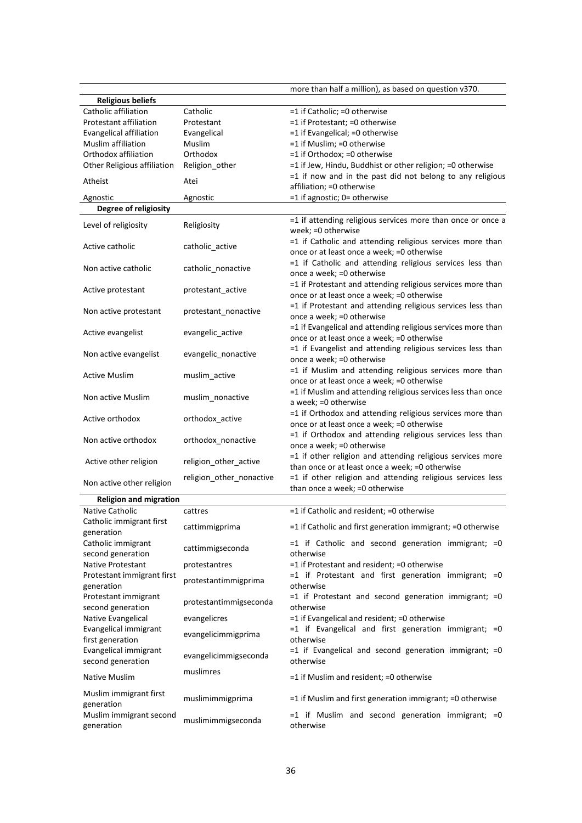|                                           |                          | more than half a million), as based on question v370.                                     |
|-------------------------------------------|--------------------------|-------------------------------------------------------------------------------------------|
| <b>Religious beliefs</b>                  |                          |                                                                                           |
| Catholic affiliation                      | Catholic                 | =1 if Catholic; =0 otherwise                                                              |
| <b>Protestant affiliation</b>             | Protestant               | =1 if Protestant; =0 otherwise                                                            |
| Evangelical affiliation                   | Evangelical              | =1 if Evangelical; =0 otherwise                                                           |
| Muslim affiliation                        | Muslim                   | =1 if Muslim; =0 otherwise                                                                |
| Orthodox affiliation                      | Orthodox                 | =1 if Orthodox; =0 otherwise                                                              |
| Other Religious affiliation               | Religion_other           | =1 if Jew, Hindu, Buddhist or other religion; =0 otherwise                                |
| Atheist                                   | Atei                     | $=1$ if now and in the past did not belong to any religious<br>affiliation; = 0 otherwise |
| Agnostic                                  | Agnostic                 | =1 if agnostic; 0= otherwise                                                              |
| Degree of religiosity                     |                          |                                                                                           |
|                                           |                          | =1 if attending religious services more than once or once a                               |
| Level of religiosity                      | Religiosity              | week; = 0 otherwise                                                                       |
|                                           |                          | =1 if Catholic and attending religious services more than                                 |
| Active catholic                           | catholic_active          | once or at least once a week; =0 otherwise                                                |
| Non active catholic                       | catholic_nonactive       | =1 if Catholic and attending religious services less than                                 |
|                                           |                          | once a week; = 0 otherwise                                                                |
| Active protestant                         | protestant active        | =1 if Protestant and attending religious services more than                               |
|                                           |                          | once or at least once a week; =0 otherwise                                                |
| Non active protestant                     | protestant nonactive     | =1 if Protestant and attending religious services less than                               |
|                                           |                          | once a week; = 0 otherwise                                                                |
| Active evangelist                         | evangelic_active         | =1 if Evangelical and attending religious services more than                              |
|                                           |                          | once or at least once a week; =0 otherwise                                                |
| Non active evangelist                     | evangelic_nonactive      | =1 if Evangelist and attending religious services less than<br>once a week; = 0 otherwise |
|                                           |                          | =1 if Muslim and attending religious services more than                                   |
| <b>Active Muslim</b>                      | muslim_active            | once or at least once a week; =0 otherwise                                                |
|                                           |                          | =1 if Muslim and attending religious services less than once                              |
| Non active Muslim                         | muslim_nonactive         | a week; = 0 otherwise                                                                     |
|                                           |                          | =1 if Orthodox and attending religious services more than                                 |
| Active orthodox                           | orthodox_active          | once or at least once a week; =0 otherwise                                                |
| Non active orthodox                       | orthodox_nonactive       | =1 if Orthodox and attending religious services less than                                 |
|                                           |                          | once a week; = 0 otherwise                                                                |
| Active other religion                     | religion_other_active    | =1 if other religion and attending religious services more                                |
|                                           |                          | than once or at least once a week; =0 otherwise                                           |
| Non active other religion                 | religion_other_nonactive | =1 if other religion and attending religious services less                                |
| <b>Religion and migration</b>             |                          | than once a week; = 0 otherwise                                                           |
| Native Catholic                           | cattres                  | =1 if Catholic and resident; =0 otherwise                                                 |
| Catholic immigrant first                  |                          |                                                                                           |
| generation                                | cattimmigprima           | =1 if Catholic and first generation immigrant; =0 otherwise                               |
| Catholic immigrant                        |                          | $=1$ if Catholic and second generation immigrant; $=0$                                    |
| second generation                         | cattimmigseconda         | otherwise                                                                                 |
| Native Protestant                         | protestantres            | =1 if Protestant and resident; =0 otherwise                                               |
| Protestant immigrant first                | protestantimmigprima     | $=1$ if Protestant and first generation immigrant; $=0$                                   |
| generation                                |                          | otherwise                                                                                 |
| Protestant immigrant                      | protestantimmigseconda   | $=1$ if Protestant and second generation immigrant; $=0$                                  |
| second generation                         |                          | otherwise                                                                                 |
| Native Evangelical                        | evangelicres             | =1 if Evangelical and resident; =0 otherwise                                              |
| Evangelical immigrant                     | evangelicimmigprima      | $=1$ if Evangelical and first generation immigrant; $=0$<br>otherwise                     |
| first generation<br>Evangelical immigrant |                          | $=1$ if Evangelical and second generation immigrant; $=0$                                 |
| second generation                         | evangelicimmigseconda    | otherwise                                                                                 |
|                                           | muslimres                |                                                                                           |
| <b>Native Muslim</b>                      |                          | =1 if Muslim and resident; =0 otherwise                                                   |
| Muslim immigrant first                    |                          |                                                                                           |
| generation                                | muslimimmigprima         | $=$ 1 if Muslim and first generation immigrant; $=$ 0 otherwise                           |
| Muslim immigrant second                   | muslimimmigseconda       | $=1$ if Muslim and second generation immigrant; $=0$                                      |
| generation                                |                          | otherwise                                                                                 |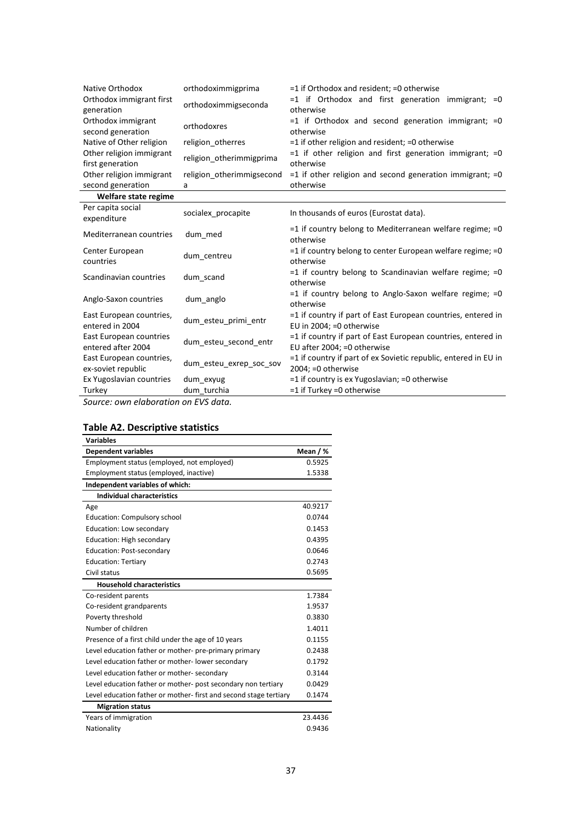| Native Orthodox<br>Orthodox immigrant first<br>generation<br>Orthodox immigrant | orthodoximmigprima<br>orthodoximmigseconda<br>orthodoxres | $=$ 1 if Orthodox and resident; $=$ 0 otherwise<br>$=1$ if Orthodox and first generation immigrant; $=0$<br>otherwise<br>$=1$ if Orthodox and second generation immigrant; $=0$ |
|---------------------------------------------------------------------------------|-----------------------------------------------------------|---------------------------------------------------------------------------------------------------------------------------------------------------------------------------------|
| second generation<br>Native of Other religion                                   | religion_otherres                                         | otherwise<br>$=$ 1 if other religion and resident; $=$ 0 otherwise                                                                                                              |
| Other religion immigrant<br>first generation                                    | religion otherimmigprima                                  | $=1$ if other religion and first generation immigrant; $=0$<br>otherwise                                                                                                        |
| Other religion immigrant                                                        | religion otherimmigsecond                                 | $=$ 1 if other religion and second generation immigrant; $=$ 0                                                                                                                  |
| second generation                                                               | a                                                         | otherwise                                                                                                                                                                       |
| Welfare state regime                                                            |                                                           |                                                                                                                                                                                 |
| Per capita social<br>expenditure                                                | socialex_procapite                                        | In thousands of euros (Eurostat data).                                                                                                                                          |
| Mediterranean countries                                                         | dum med                                                   | $=$ 1 if country belong to Mediterranean welfare regime; $=$ 0<br>otherwise                                                                                                     |
| Center European<br>countries                                                    | dum centreu                                               | $=$ 1 if country belong to center European welfare regime; $=$ 0<br>otherwise                                                                                                   |
| Scandinavian countries                                                          | dum scand                                                 | $=1$ if country belong to Scandinavian welfare regime; $=0$<br>otherwise                                                                                                        |
| Anglo-Saxon countries                                                           | dum_anglo                                                 | $=1$ if country belong to Anglo-Saxon welfare regime; $=0$<br>otherwise                                                                                                         |
| East European countries,<br>entered in 2004                                     | dum esteu primi entr                                      | =1 if country if part of East European countries, entered in<br>EU in 2004; = 0 otherwise                                                                                       |
| East European countries<br>entered after 2004                                   | dum_esteu_second_entr                                     | =1 if country if part of East European countries, entered in<br>EU after 2004; = 0 otherwise                                                                                    |
| East European countries,<br>ex-soviet republic                                  | dum esteu exrep soc sov                                   | $=$ 1 if country if part of ex Sovietic republic, entered in EU in<br>$2004$ ; =0 otherwise                                                                                     |
| Ex Yugoslavian countries                                                        | dum exyug                                                 | =1 if country is ex Yugoslavian; =0 otherwise                                                                                                                                   |
| Turkey                                                                          | dum turchia                                               | $=1$ if Turkey =0 otherwise                                                                                                                                                     |

*Source: own elaboration on EVS data.*

## **Table A2. Descriptive statistics**

| <b>Variables</b>                                                 |          |
|------------------------------------------------------------------|----------|
| <b>Dependent variables</b>                                       | Mean / % |
| Employment status (employed, not employed)                       | 0.5925   |
| Employment status (employed, inactive)                           | 1.5338   |
| Independent variables of which:                                  |          |
| <b>Individual characteristics</b>                                |          |
| Age                                                              | 40.9217  |
| Education: Compulsory school                                     | 0.0744   |
| Education: Low secondary                                         | 0.1453   |
| Education: High secondary                                        | 0.4395   |
| Education: Post-secondary                                        | 0.0646   |
| <b>Education: Tertiary</b>                                       | 0.2743   |
| Civil status                                                     | 0.5695   |
| <b>Household characteristics</b>                                 |          |
| Co-resident parents                                              | 1.7384   |
| Co-resident grandparents                                         | 1.9537   |
| Poverty threshold                                                | 0.3830   |
| Number of children                                               | 1.4011   |
| Presence of a first child under the age of 10 years              | 0.1155   |
| Level education father or mother- pre-primary primary            | 0.2438   |
| Level education father or mother-lower secondary                 | 0.1792   |
| Level education father or mother-secondary                       | 0.3144   |
| Level education father or mother- post secondary non tertiary    | 0.0429   |
| Level education father or mother-first and second stage tertiary | 0.1474   |
| <b>Migration status</b>                                          |          |
| Years of immigration                                             | 23.4436  |
| Nationality                                                      | 0.9436   |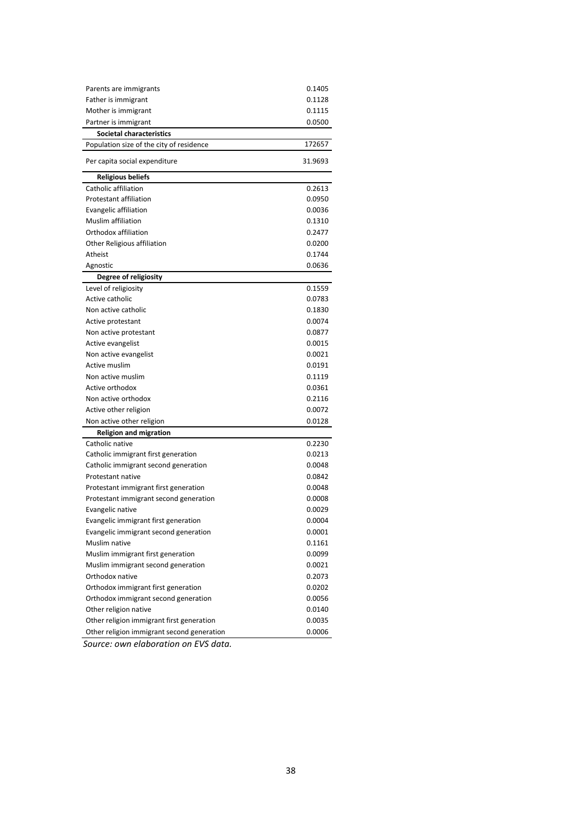| Parents are immigrants                     | 0.1405  |
|--------------------------------------------|---------|
| Father is immigrant                        | 0.1128  |
| Mother is immigrant                        | 0.1115  |
| Partner is immigrant                       | 0.0500  |
| <b>Societal characteristics</b>            |         |
| Population size of the city of residence   | 172657  |
| Per capita social expenditure              | 31.9693 |
| <b>Religious beliefs</b>                   |         |
| Catholic affiliation                       | 0.2613  |
| <b>Protestant affiliation</b>              | 0.0950  |
| <b>Evangelic affiliation</b>               | 0.0036  |
| <b>Muslim affiliation</b>                  | 0.1310  |
| Orthodox affiliation                       | 0.2477  |
| Other Religious affiliation                | 0.0200  |
| Atheist                                    | 0.1744  |
| Agnostic                                   | 0.0636  |
| Degree of religiosity                      |         |
| Level of religiosity                       | 0.1559  |
| Active catholic                            | 0.0783  |
| Non active catholic                        | 0.1830  |
| Active protestant                          | 0.0074  |
| Non active protestant                      | 0.0877  |
| Active evangelist                          | 0.0015  |
| Non active evangelist                      | 0.0021  |
| Active muslim                              | 0.0191  |
| Non active muslim                          | 0.1119  |
| Active orthodox                            | 0.0361  |
| Non active orthodox                        | 0.2116  |
| Active other religion                      | 0.0072  |
| Non active other religion                  | 0.0128  |
| <b>Religion and migration</b>              |         |
| Catholic native                            | 0.2230  |
| Catholic immigrant first generation        | 0.0213  |
| Catholic immigrant second generation       | 0.0048  |
| Protestant native                          | 0.0842  |
| Protestant immigrant first generation      | 0.0048  |
| Protestant immigrant second generation     | 0.0008  |
| Evangelic native                           | 0.0029  |
| Evangelic immigrant first generation       | 0.0004  |
| Evangelic immigrant second generation      | 0.0001  |
| Muslim native                              | 0.1161  |
| Muslim immigrant first generation          | 0.0099  |
| Muslim immigrant second generation         | 0.0021  |
| Orthodox native                            | 0.2073  |
| Orthodox immigrant first generation        | 0.0202  |
| Orthodox immigrant second generation       | 0.0056  |
| Other religion native                      | 0.0140  |
| Other religion immigrant first generation  | 0.0035  |
| Other religion immigrant second generation | 0.0006  |

*Source: own elaboration on EVS data.*